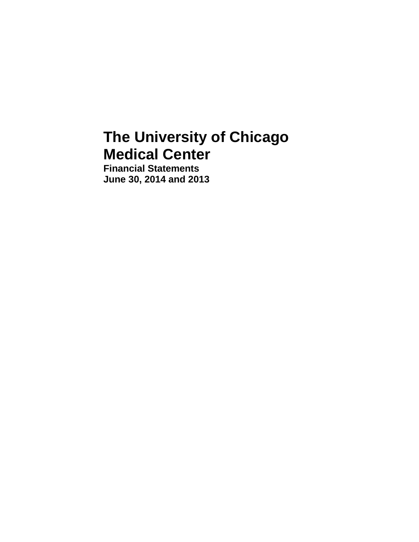# **The University of Chicago Medical Center**

**Financial Statements June 30, 2014 and 2013**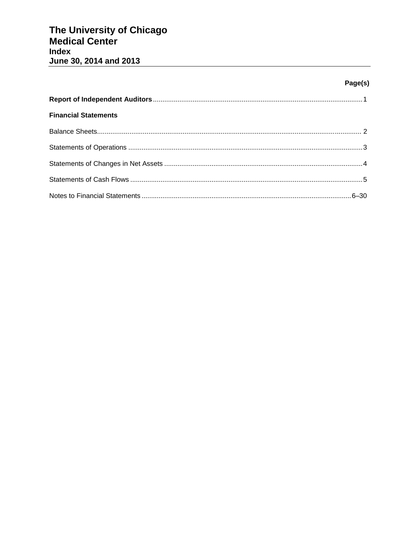## Page(s)

| <b>Financial Statements</b> |  |
|-----------------------------|--|
|                             |  |
|                             |  |
|                             |  |
|                             |  |
|                             |  |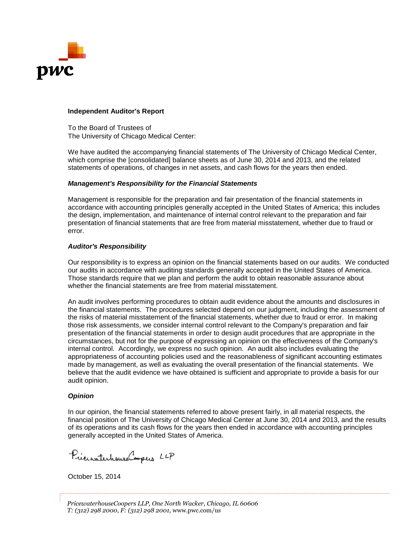

#### **Independent Auditor's Report**

To the Board of Trustees of The University of Chicago Medical Center:

We have audited the accompanying financial statements of The University of Chicago Medical Center, which comprise the [consolidated] balance sheets as of June 30, 2014 and 2013, and the related statements of operations, of changes in net assets, and cash flows for the years then ended.

#### *Management's Responsibility for the Financial Statements*

Management is responsible for the preparation and fair presentation of the financial statements in accordance with accounting principles generally accepted in the United States of America; this includes the design, implementation, and maintenance of internal control relevant to the preparation and fair presentation of financial statements that are free from material misstatement, whether due to fraud or error.

#### *Auditor's Responsibility*

Our responsibility is to express an opinion on the financial statements based on our audits. We conducted our audits in accordance with auditing standards generally accepted in the United States of America. Those standards require that we plan and perform the audit to obtain reasonable assurance about whether the financial statements are free from material misstatement.

An audit involves performing procedures to obtain audit evidence about the amounts and disclosures in the financial statements. The procedures selected depend on our judgment, including the assessment of the risks of material misstatement of the financial statements, whether due to fraud or error. In making those risk assessments, we consider internal control relevant to the Company's preparation and fair presentation of the financial statements in order to design audit procedures that are appropriate in the circumstances, but not for the purpose of expressing an opinion on the effectiveness of the Company's internal control. Accordingly, we express no such opinion. An audit also includes evaluating the appropriateness of accounting policies used and the reasonableness of significant accounting estimates made by management, as well as evaluating the overall presentation of the financial statements. We believe that the audit evidence we have obtained is sufficient and appropriate to provide a basis for our audit opinion.

#### *Opinion*

In our opinion, the financial statements referred to above present fairly, in all material respects, the financial position of The University of Chicago Medical Center at June 30, 2014 and 2013, and the results of its operations and its cash flows for the years then ended in accordance with accounting principles generally accepted in the United States of America.

PrinstectouseCoopers LLP

October 15, 2014

*PricewaterhouseCoopers LLP, One North Wacker, Chicago, IL 60606 T: (312) 298 2000, F: (312) 298 2001,* www.pwc.com/us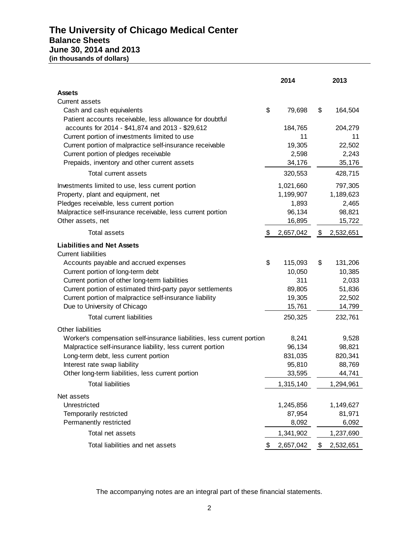## **The University of Chicago Medical Center Balance Sheets June 30, 2014 and 2013 (in thousands of dollars)**

|                                                                        | 2014            | 2013            |
|------------------------------------------------------------------------|-----------------|-----------------|
| <b>Assets</b>                                                          |                 |                 |
| <b>Current assets</b>                                                  |                 |                 |
| Cash and cash equivalents                                              | \$<br>79,698    | \$<br>164,504   |
| Patient accounts receivable, less allowance for doubtful               |                 |                 |
| accounts for 2014 - \$41,874 and 2013 - \$29,612                       | 184,765         | 204,279         |
| Current portion of investments limited to use                          | 11              | 11              |
| Current portion of malpractice self-insurance receivable               | 19,305          | 22,502          |
| Current portion of pledges receivable                                  | 2,598           | 2,243           |
| Prepaids, inventory and other current assets                           | 34,176          | 35,176          |
| Total current assets                                                   | 320,553         | 428,715         |
| Investments limited to use, less current portion                       | 1,021,660       | 797,305         |
| Property, plant and equipment, net                                     | 1,199,907       | 1,189,623       |
| Pledges receivable, less current portion                               | 1,893           | 2,465           |
| Malpractice self-insurance receivable, less current portion            | 96,134          | 98,821          |
| Other assets, net                                                      | 16,895          | 15,722          |
| <b>Total assets</b>                                                    | \$<br>2,657,042 | \$<br>2,532,651 |
| <b>Liabilities and Net Assets</b>                                      |                 |                 |
| <b>Current liabilities</b>                                             |                 |                 |
| Accounts payable and accrued expenses                                  | \$<br>115,093   | \$<br>131,206   |
| Current portion of long-term debt                                      | 10,050          | 10,385          |
| Current portion of other long-term liabilities                         | 311             | 2,033           |
| Current portion of estimated third-party payor settlements             | 89,805          | 51,836          |
| Current portion of malpractice self-insurance liability                | 19,305          | 22,502          |
| Due to University of Chicago                                           | 15,761          | 14,799          |
| Total current liabilities                                              | 250,325         | 232,761         |
| Other liabilities                                                      |                 |                 |
| Worker's compensation self-insurance liabilities, less current portion | 8,241           | 9,528           |
| Malpractice self-insurance liability, less current portion             | 96,134          | 98,821          |
| Long-term debt, less current portion                                   | 831,035         | 820,341         |
| Interest rate swap liability                                           | 95,810          | 88,769          |
| Other long-term liabilities, less current portion                      | 33,595          | 44,741          |
| <b>Total liabilities</b>                                               | 1,315,140       | 1,294,961       |
| Net assets                                                             |                 |                 |
| Unrestricted                                                           | 1,245,856       | 1,149,627       |
| Temporarily restricted                                                 | 87,954          | 81,971          |
| Permanently restricted                                                 | 8,092           | 6,092           |
| Total net assets                                                       | 1,341,902       | 1,237,690       |
| Total liabilities and net assets                                       | \$<br>2,657,042 | \$<br>2,532,651 |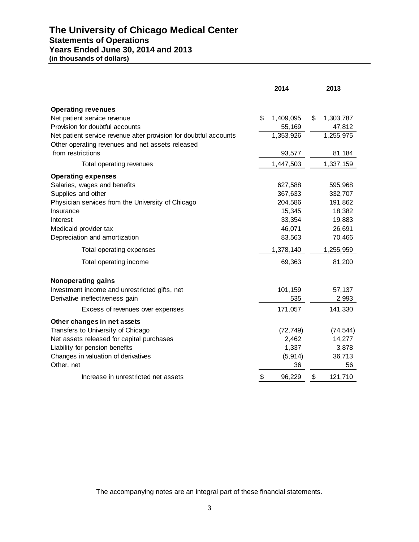## **The University of Chicago Medical Center Statements of Operations Years Ended June 30, 2014 and 2013**

**(in thousands of dollars)**

|                                                                                                                       | 2014            | 2013            |
|-----------------------------------------------------------------------------------------------------------------------|-----------------|-----------------|
|                                                                                                                       |                 |                 |
| <b>Operating revenues</b>                                                                                             |                 |                 |
| Net patient service revenue                                                                                           | \$<br>1,409,095 | \$<br>1,303,787 |
| Provision for doubtful accounts                                                                                       | 55,169          | 47,812          |
| Net patient service revenue after provision for doubtful accounts<br>Other operating revenues and net assets released | 1,353,926       | 1,255,975       |
| from restrictions                                                                                                     | 93,577          | 81,184          |
| Total operating revenues                                                                                              | 1,447,503       | 1,337,159       |
| <b>Operating expenses</b>                                                                                             |                 |                 |
| Salaries, wages and benefits                                                                                          | 627,588         | 595,968         |
| Supplies and other                                                                                                    | 367,633         | 332,707         |
| Physician services from the University of Chicago                                                                     | 204,586         | 191,862         |
| Insurance                                                                                                             | 15,345          | 18,382          |
| Interest                                                                                                              | 33,354          | 19,883          |
| Medicaid provider tax                                                                                                 | 46,071          | 26,691          |
| Depreciation and amortization                                                                                         | 83,563          | 70,466          |
| Total operating expenses                                                                                              | 1,378,140       | 1,255,959       |
| Total operating income                                                                                                | 69,363          | 81,200          |
| <b>Nonoperating gains</b>                                                                                             |                 |                 |
| Investment income and unrestricted gifts, net                                                                         | 101,159         | 57,137          |
| Derivative ineffectiveness gain                                                                                       | 535             | 2,993           |
| Excess of revenues over expenses                                                                                      | 171,057         | 141,330         |
| Other changes in net assets                                                                                           |                 |                 |
| Transfers to University of Chicago                                                                                    | (72, 749)       | (74, 544)       |
| Net assets released for capital purchases                                                                             | 2,462           | 14,277          |
| Liability for pension benefits                                                                                        | 1,337           | 3,878           |
| Changes in valuation of derivatives                                                                                   | (5, 914)        | 36,713          |
| Other, net                                                                                                            | 36              | 56              |
| Increase in unrestricted net assets                                                                                   | \$<br>96,229    | \$<br>121,710   |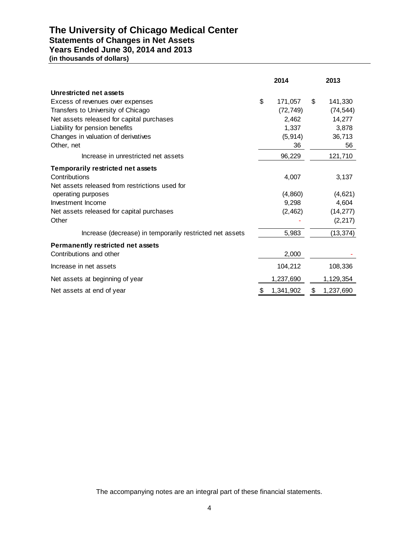## **The University of Chicago Medical Center**

### **Statements of Changes in Net Assets**

**Years Ended June 30, 2014 and 2013**

**(in thousands of dollars)**

|                                                          | 2014          | 2013            |
|----------------------------------------------------------|---------------|-----------------|
| Unrestricted net assets                                  |               |                 |
| Excess of revenues over expenses                         | \$<br>171,057 | \$<br>141,330   |
| Transfers to University of Chicago                       | (72, 749)     | (74, 544)       |
| Net assets released for capital purchases                | 2,462         | 14,277          |
| Liability for pension benefits                           | 1,337         | 3,878           |
| Changes in valuation of derivatives                      | (5, 914)      | 36,713          |
| Other, net                                               | 36            | 56              |
| Increase in unrestricted net assets                      | 96,229        | 121,710         |
| Temporarily restricted net assets                        |               |                 |
| Contributions                                            | 4,007         | 3,137           |
| Net assets released from restrictions used for           |               |                 |
| operating purposes                                       | (4,860)       | (4,621)         |
| Investment Income                                        | 9,298         | 4,604           |
| Net assets released for capital purchases                | (2, 462)      | (14, 277)       |
| Other                                                    |               | (2, 217)        |
| Increase (decrease) in temporarily restricted net assets | 5,983         | (13, 374)       |
| <b>Permanently restricted net assets</b>                 |               |                 |
| Contributions and other                                  | 2,000         |                 |
| Increase in net assets                                   | 104,212       | 108,336         |
| Net assets at beginning of year                          | 1,237,690     | 1,129,354       |
| Net assets at end of year                                | 1,341,902     | \$<br>1,237,690 |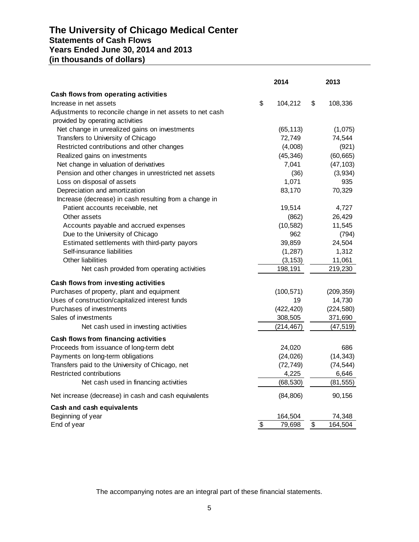## **The University of Chicago Medical Center Statements of Cash Flows Years Ended June 30, 2014 and 2013 (in thousands of dollars)**

|                                                           |                          | 2014       |                          | 2013       |
|-----------------------------------------------------------|--------------------------|------------|--------------------------|------------|
| Cash flows from operating activities                      |                          |            |                          |            |
| Increase in net assets                                    | \$                       | 104,212    | \$                       | 108,336    |
| Adjustments to reconcile change in net assets to net cash |                          |            |                          |            |
| provided by operating activities                          |                          |            |                          |            |
| Net change in unrealized gains on investments             |                          | (65, 113)  |                          | (1,075)    |
| Transfers to University of Chicago                        |                          | 72,749     |                          | 74,544     |
| Restricted contributions and other changes                |                          | (4,008)    |                          | (921)      |
| Realized gains on investments                             |                          | (45, 346)  |                          | (60, 665)  |
| Net change in valuation of derivatives                    |                          | 7,041      |                          | (47, 103)  |
| Pension and other changes in unrestricted net assets      |                          | (36)       |                          | (3,934)    |
| Loss on disposal of assets                                |                          | 1,071      |                          | 935        |
| Depreciation and amortization                             |                          | 83,170     |                          | 70,329     |
| Increase (decrease) in cash resulting from a change in    |                          |            |                          |            |
| Patient accounts receivable, net                          |                          | 19,514     |                          | 4,727      |
| Other assets                                              |                          | (862)      |                          | 26,429     |
| Accounts payable and accrued expenses                     |                          | (10, 582)  |                          | 11,545     |
| Due to the University of Chicago                          |                          | 962        |                          | (794)      |
| Estimated settlements with third-party payors             |                          | 39,859     |                          | 24,504     |
| Self-insurance liabilities                                |                          | (1, 287)   |                          | 1,312      |
| Other liabilities                                         |                          | (3, 153)   |                          | 11,061     |
| Net cash provided from operating activities               |                          | 198,191    |                          | 219,230    |
| Cash flows from investing activities                      |                          |            |                          |            |
| Purchases of property, plant and equipment                |                          | (100, 571) |                          | (209, 359) |
| Uses of construction/capitalized interest funds           |                          | 19         |                          | 14,730     |
| Purchases of investments                                  |                          | (422, 420) |                          | (224, 580) |
| Sales of investments                                      |                          | 308,505    |                          | 371,690    |
| Net cash used in investing activities                     |                          | (214, 467) |                          | (47, 519)  |
| Cash flows from financing activities                      |                          |            |                          |            |
| Proceeds from issuance of long-term debt                  |                          | 24,020     |                          | 686        |
| Payments on long-term obligations                         |                          | (24, 026)  |                          | (14, 343)  |
| Transfers paid to the University of Chicago, net          |                          | (72, 749)  |                          | (74, 544)  |
| Restricted contributions                                  |                          | 4,225      |                          | 6,646      |
| Net cash used in financing activities                     |                          | (68, 530)  |                          | (81, 555)  |
| Net increase (decrease) in cash and cash equivalents      |                          | (84, 806)  |                          | 90,156     |
| Cash and cash equivalents                                 |                          |            |                          |            |
| Beginning of year                                         |                          | 164,504    |                          | 74,348     |
| End of year                                               | $\overline{\mathcal{L}}$ | 79,698     | $\overline{\mathcal{L}}$ | 164,504    |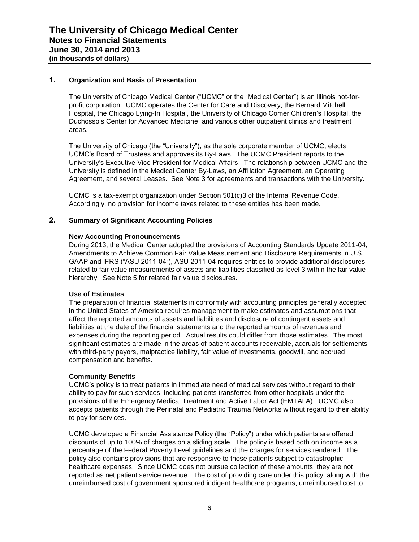#### **1. Organization and Basis of Presentation**

The University of Chicago Medical Center ("UCMC" or the "Medical Center") is an Illinois not-forprofit corporation. UCMC operates the Center for Care and Discovery, the Bernard Mitchell Hospital, the Chicago Lying-In Hospital, the University of Chicago Comer Children's Hospital, the Duchossois Center for Advanced Medicine, and various other outpatient clinics and treatment areas.

The University of Chicago (the "University"), as the sole corporate member of UCMC, elects UCMC's Board of Trustees and approves its By-Laws. The UCMC President reports to the University's Executive Vice President for Medical Affairs. The relationship between UCMC and the University is defined in the Medical Center By-Laws, an Affiliation Agreement, an Operating Agreement, and several Leases. See Note 3 for agreements and transactions with the University.

UCMC is a tax-exempt organization under Section 501(c)3 of the Internal Revenue Code. Accordingly, no provision for income taxes related to these entities has been made.

#### **2. Summary of Significant Accounting Policies**

#### **New Accounting Pronouncements**

During 2013, the Medical Center adopted the provisions of Accounting Standards Update 2011-04, Amendments to Achieve Common Fair Value Measurement and Disclosure Requirements in U.S. GAAP and IFRS ("ASU 2011-04"), ASU 2011-04 requires entities to provide additional disclosures related to fair value measurements of assets and liabilities classified as level 3 within the fair value hierarchy. See Note 5 for related fair value disclosures.

#### **Use of Estimates**

The preparation of financial statements in conformity with accounting principles generally accepted in the United States of America requires management to make estimates and assumptions that affect the reported amounts of assets and liabilities and disclosure of contingent assets and liabilities at the date of the financial statements and the reported amounts of revenues and expenses during the reporting period. Actual results could differ from those estimates. The most significant estimates are made in the areas of patient accounts receivable, accruals for settlements with third-party payors, malpractice liability, fair value of investments, goodwill, and accrued compensation and benefits.

#### **Community Benefits**

UCMC's policy is to treat patients in immediate need of medical services without regard to their ability to pay for such services, including patients transferred from other hospitals under the provisions of the Emergency Medical Treatment and Active Labor Act (EMTALA). UCMC also accepts patients through the Perinatal and Pediatric Trauma Networks without regard to their ability to pay for services.

UCMC developed a Financial Assistance Policy (the "Policy") under which patients are offered discounts of up to 100% of charges on a sliding scale. The policy is based both on income as a percentage of the Federal Poverty Level guidelines and the charges for services rendered. The policy also contains provisions that are responsive to those patients subject to catastrophic healthcare expenses. Since UCMC does not pursue collection of these amounts, they are not reported as net patient service revenue. The cost of providing care under this policy, along with the unreimbursed cost of government sponsored indigent healthcare programs, unreimbursed cost to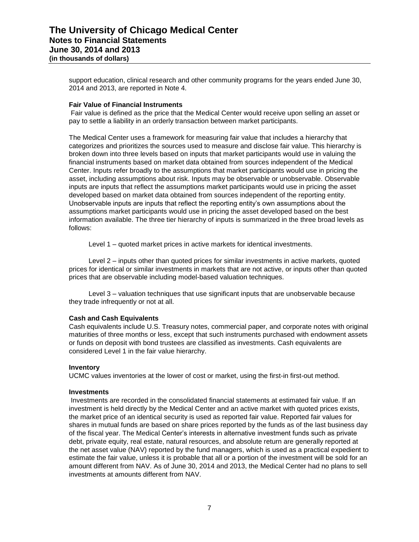support education, clinical research and other community programs for the years ended June 30, 2014 and 2013, are reported in Note 4.

#### **Fair Value of Financial Instruments**

Fair value is defined as the price that the Medical Center would receive upon selling an asset or pay to settle a liability in an orderly transaction between market participants.

The Medical Center uses a framework for measuring fair value that includes a hierarchy that categorizes and prioritizes the sources used to measure and disclose fair value. This hierarchy is broken down into three levels based on inputs that market participants would use in valuing the financial instruments based on market data obtained from sources independent of the Medical Center. Inputs refer broadly to the assumptions that market participants would use in pricing the asset, including assumptions about risk. Inputs may be observable or unobservable. Observable inputs are inputs that reflect the assumptions market participants would use in pricing the asset developed based on market data obtained from sources independent of the reporting entity. Unobservable inputs are inputs that reflect the reporting entity's own assumptions about the assumptions market participants would use in pricing the asset developed based on the best information available. The three tier hierarchy of inputs is summarized in the three broad levels as follows:

Level 1 – quoted market prices in active markets for identical investments.

Level 2 – inputs other than quoted prices for similar investments in active markets, quoted prices for identical or similar investments in markets that are not active, or inputs other than quoted prices that are observable including model-based valuation techniques.

Level 3 – valuation techniques that use significant inputs that are unobservable because they trade infrequently or not at all.

#### **Cash and Cash Equivalents**

Cash equivalents include U.S. Treasury notes, commercial paper, and corporate notes with original maturities of three months or less, except that such instruments purchased with endowment assets or funds on deposit with bond trustees are classified as investments. Cash equivalents are considered Level 1 in the fair value hierarchy.

#### **Inventory**

UCMC values inventories at the lower of cost or market, using the first-in first-out method.

#### **Investments**

Investments are recorded in the consolidated financial statements at estimated fair value. If an investment is held directly by the Medical Center and an active market with quoted prices exists, the market price of an identical security is used as reported fair value. Reported fair values for shares in mutual funds are based on share prices reported by the funds as of the last business day of the fiscal year. The Medical Center's interests in alternative investment funds such as private debt, private equity, real estate, natural resources, and absolute return are generally reported at the net asset value (NAV) reported by the fund managers, which is used as a practical expedient to estimate the fair value, unless it is probable that all or a portion of the investment will be sold for an amount different from NAV. As of June 30, 2014 and 2013, the Medical Center had no plans to sell investments at amounts different from NAV.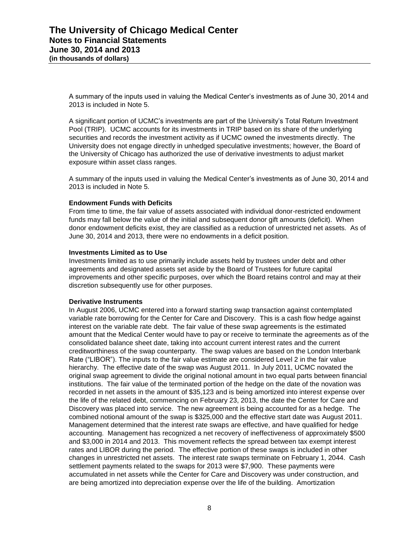A summary of the inputs used in valuing the Medical Center's investments as of June 30, 2014 and 2013 is included in Note 5.

A significant portion of UCMC's investments are part of the University's Total Return Investment Pool (TRIP). UCMC accounts for its investments in TRIP based on its share of the underlying securities and records the investment activity as if UCMC owned the investments directly. The University does not engage directly in unhedged speculative investments; however, the Board of the University of Chicago has authorized the use of derivative investments to adjust market exposure within asset class ranges.

A summary of the inputs used in valuing the Medical Center's investments as of June 30, 2014 and 2013 is included in Note 5.

#### **Endowment Funds with Deficits**

From time to time, the fair value of assets associated with individual donor-restricted endowment funds may fall below the value of the initial and subsequent donor gift amounts (deficit). When donor endowment deficits exist, they are classified as a reduction of unrestricted net assets. As of June 30, 2014 and 2013, there were no endowments in a deficit position.

#### **Investments Limited as to Use**

Investments limited as to use primarily include assets held by trustees under debt and other agreements and designated assets set aside by the Board of Trustees for future capital improvements and other specific purposes, over which the Board retains control and may at their discretion subsequently use for other purposes.

#### **Derivative Instruments**

In August 2006, UCMC entered into a forward starting swap transaction against contemplated variable rate borrowing for the Center for Care and Discovery. This is a cash flow hedge against interest on the variable rate debt. The fair value of these swap agreements is the estimated amount that the Medical Center would have to pay or receive to terminate the agreements as of the consolidated balance sheet date, taking into account current interest rates and the current creditworthiness of the swap counterparty. The swap values are based on the London Interbank Rate ("LIBOR"). The inputs to the fair value estimate are considered Level 2 in the fair value hierarchy. The effective date of the swap was August 2011. In July 2011, UCMC novated the original swap agreement to divide the original notional amount in two equal parts between financial institutions. The fair value of the terminated portion of the hedge on the date of the novation was recorded in net assets in the amount of \$35,123 and is being amortized into interest expense over the life of the related debt, commencing on February 23, 2013, the date the Center for Care and Discovery was placed into service. The new agreement is being accounted for as a hedge. The combined notional amount of the swap is \$325,000 and the effective start date was August 2011. Management determined that the interest rate swaps are effective, and have qualified for hedge accounting. Management has recognized a net recovery of ineffectiveness of approximately \$500 and \$3,000 in 2014 and 2013. This movement reflects the spread between tax exempt interest rates and LIBOR during the period. The effective portion of these swaps is included in other changes in unrestricted net assets. The interest rate swaps terminate on February 1, 2044. Cash settlement payments related to the swaps for 2013 were \$7,900. These payments were accumulated in net assets while the Center for Care and Discovery was under construction, and are being amortized into depreciation expense over the life of the building. Amortization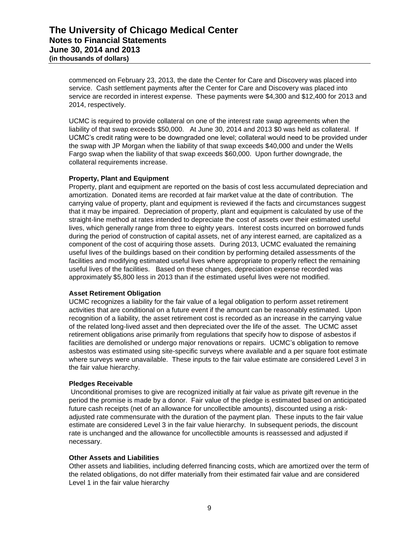commenced on February 23, 2013, the date the Center for Care and Discovery was placed into service. Cash settlement payments after the Center for Care and Discovery was placed into service are recorded in interest expense. These payments were \$4,300 and \$12,400 for 2013 and 2014, respectively.

UCMC is required to provide collateral on one of the interest rate swap agreements when the liability of that swap exceeds \$50,000. At June 30, 2014 and 2013 \$0 was held as collateral. If UCMC's credit rating were to be downgraded one level; collateral would need to be provided under the swap with JP Morgan when the liability of that swap exceeds \$40,000 and under the Wells Fargo swap when the liability of that swap exceeds \$60,000. Upon further downgrade, the collateral requirements increase.

#### **Property, Plant and Equipment**

Property, plant and equipment are reported on the basis of cost less accumulated depreciation and amortization. Donated items are recorded at fair market value at the date of contribution. The carrying value of property, plant and equipment is reviewed if the facts and circumstances suggest that it may be impaired. Depreciation of property, plant and equipment is calculated by use of the straight-line method at rates intended to depreciate the cost of assets over their estimated useful lives, which generally range from three to eighty years. Interest costs incurred on borrowed funds during the period of construction of capital assets, net of any interest earned, are capitalized as a component of the cost of acquiring those assets. During 2013, UCMC evaluated the remaining useful lives of the buildings based on their condition by performing detailed assessments of the facilities and modifying estimated useful lives where appropriate to properly reflect the remaining useful lives of the facilities. Based on these changes, depreciation expense recorded was approximately \$5,800 less in 2013 than if the estimated useful lives were not modified.

#### **Asset Retirement Obligation**

UCMC recognizes a liability for the fair value of a legal obligation to perform asset retirement activities that are conditional on a future event if the amount can be reasonably estimated. Upon recognition of a liability, the asset retirement cost is recorded as an increase in the carrying value of the related long-lived asset and then depreciated over the life of the asset. The UCMC asset retirement obligations arise primarily from regulations that specify how to dispose of asbestos if facilities are demolished or undergo major renovations or repairs. UCMC's obligation to remove asbestos was estimated using site-specific surveys where available and a per square foot estimate where surveys were unavailable. These inputs to the fair value estimate are considered Level 3 in the fair value hierarchy.

#### **Pledges Receivable**

Unconditional promises to give are recognized initially at fair value as private gift revenue in the period the promise is made by a donor. Fair value of the pledge is estimated based on anticipated future cash receipts (net of an allowance for uncollectible amounts), discounted using a riskadjusted rate commensurate with the duration of the payment plan. These inputs to the fair value estimate are considered Level 3 in the fair value hierarchy. In subsequent periods, the discount rate is unchanged and the allowance for uncollectible amounts is reassessed and adjusted if necessary.

#### **Other Assets and Liabilities**

Other assets and liabilities, including deferred financing costs, which are amortized over the term of the related obligations, do not differ materially from their estimated fair value and are considered Level 1 in the fair value hierarchy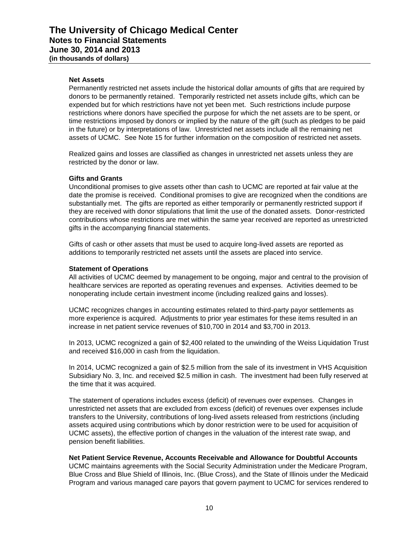#### **Net Assets**

Permanently restricted net assets include the historical dollar amounts of gifts that are required by donors to be permanently retained. Temporarily restricted net assets include gifts, which can be expended but for which restrictions have not yet been met. Such restrictions include purpose restrictions where donors have specified the purpose for which the net assets are to be spent, or time restrictions imposed by donors or implied by the nature of the gift (such as pledges to be paid in the future) or by interpretations of law. Unrestricted net assets include all the remaining net assets of UCMC. See Note 15 for further information on the composition of restricted net assets.

Realized gains and losses are classified as changes in unrestricted net assets unless they are restricted by the donor or law.

#### **Gifts and Grants**

Unconditional promises to give assets other than cash to UCMC are reported at fair value at the date the promise is received. Conditional promises to give are recognized when the conditions are substantially met. The gifts are reported as either temporarily or permanently restricted support if they are received with donor stipulations that limit the use of the donated assets. Donor-restricted contributions whose restrictions are met within the same year received are reported as unrestricted gifts in the accompanying financial statements.

Gifts of cash or other assets that must be used to acquire long-lived assets are reported as additions to temporarily restricted net assets until the assets are placed into service.

#### **Statement of Operations**

All activities of UCMC deemed by management to be ongoing, major and central to the provision of healthcare services are reported as operating revenues and expenses. Activities deemed to be nonoperating include certain investment income (including realized gains and losses).

UCMC recognizes changes in accounting estimates related to third-party payor settlements as more experience is acquired. Adjustments to prior year estimates for these items resulted in an increase in net patient service revenues of \$10,700 in 2014 and \$3,700 in 2013.

In 2013, UCMC recognized a gain of \$2,400 related to the unwinding of the Weiss Liquidation Trust and received \$16,000 in cash from the liquidation.

In 2014, UCMC recognized a gain of \$2.5 million from the sale of its investment in VHS Acquisition Subsidiary No. 3, Inc. and received \$2.5 million in cash. The investment had been fully reserved at the time that it was acquired.

The statement of operations includes excess (deficit) of revenues over expenses. Changes in unrestricted net assets that are excluded from excess (deficit) of revenues over expenses include transfers to the University, contributions of long-lived assets released from restrictions (including assets acquired using contributions which by donor restriction were to be used for acquisition of UCMC assets), the effective portion of changes in the valuation of the interest rate swap, and pension benefit liabilities.

#### **Net Patient Service Revenue, Accounts Receivable and Allowance for Doubtful Accounts**

UCMC maintains agreements with the Social Security Administration under the Medicare Program, Blue Cross and Blue Shield of Illinois, Inc. (Blue Cross), and the State of Illinois under the Medicaid Program and various managed care payors that govern payment to UCMC for services rendered to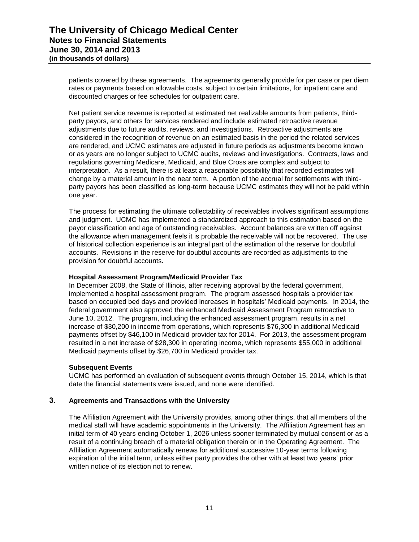patients covered by these agreements. The agreements generally provide for per case or per diem rates or payments based on allowable costs, subject to certain limitations, for inpatient care and discounted charges or fee schedules for outpatient care.

Net patient service revenue is reported at estimated net realizable amounts from patients, thirdparty payors, and others for services rendered and include estimated retroactive revenue adjustments due to future audits, reviews, and investigations. Retroactive adjustments are considered in the recognition of revenue on an estimated basis in the period the related services are rendered, and UCMC estimates are adjusted in future periods as adjustments become known or as years are no longer subject to UCMC audits, reviews and investigations. Contracts, laws and regulations governing Medicare, Medicaid, and Blue Cross are complex and subject to interpretation. As a result, there is at least a reasonable possibility that recorded estimates will change by a material amount in the near term. A portion of the accrual for settlements with thirdparty payors has been classified as long-term because UCMC estimates they will not be paid within one year.

The process for estimating the ultimate collectability of receivables involves significant assumptions and judgment. UCMC has implemented a standardized approach to this estimation based on the payor classification and age of outstanding receivables. Account balances are written off against the allowance when management feels it is probable the receivable will not be recovered. The use of historical collection experience is an integral part of the estimation of the reserve for doubtful accounts. Revisions in the reserve for doubtful accounts are recorded as adjustments to the provision for doubtful accounts.

#### **Hospital Assessment Program/Medicaid Provider Tax**

In December 2008, the State of Illinois, after receiving approval by the federal government, implemented a hospital assessment program. The program assessed hospitals a provider tax based on occupied bed days and provided increases in hospitals' Medicaid payments. In 2014, the federal government also approved the enhanced Medicaid Assessment Program retroactive to June 10, 2012. The program, including the enhanced assessment program, results in a net increase of \$30,200 in income from operations, which represents \$76,300 in additional Medicaid payments offset by \$46,100 in Medicaid provider tax for 2014. For 2013, the assessment program resulted in a net increase of \$28,300 in operating income, which represents \$55,000 in additional Medicaid payments offset by \$26,700 in Medicaid provider tax.

#### **Subsequent Events**

UCMC has performed an evaluation of subsequent events through October 15, 2014, which is that date the financial statements were issued, and none were identified.

#### **3. Agreements and Transactions with the University**

The Affiliation Agreement with the University provides, among other things, that all members of the medical staff will have academic appointments in the University. The Affiliation Agreement has an initial term of 40 years ending October 1, 2026 unless sooner terminated by mutual consent or as a result of a continuing breach of a material obligation therein or in the Operating Agreement. The Affiliation Agreement automatically renews for additional successive 10-year terms following expiration of the initial term, unless either party provides the other with at least two years' prior written notice of its election not to renew.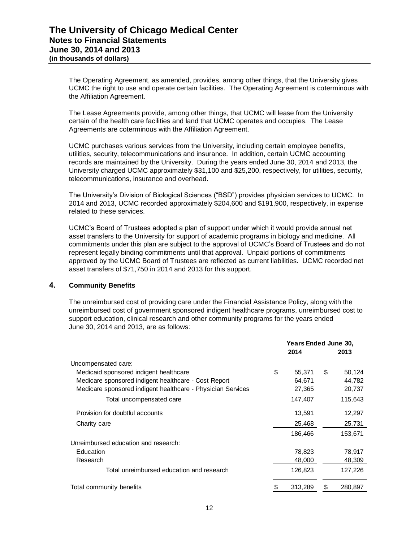The Operating Agreement, as amended, provides, among other things, that the University gives UCMC the right to use and operate certain facilities. The Operating Agreement is coterminous with the Affiliation Agreement.

The Lease Agreements provide, among other things, that UCMC will lease from the University certain of the health care facilities and land that UCMC operates and occupies. The Lease Agreements are coterminous with the Affiliation Agreement.

UCMC purchases various services from the University, including certain employee benefits, utilities, security, telecommunications and insurance. In addition, certain UCMC accounting records are maintained by the University. During the years ended June 30, 2014 and 2013, the University charged UCMC approximately \$31,100 and \$25,200, respectively, for utilities, security, telecommunications, insurance and overhead.

The University's Division of Biological Sciences ("BSD") provides physician services to UCMC. In 2014 and 2013, UCMC recorded approximately \$204,600 and \$191,900, respectively, in expense related to these services.

UCMC's Board of Trustees adopted a plan of support under which it would provide annual net asset transfers to the University for support of academic programs in biology and medicine. All commitments under this plan are subject to the approval of UCMC's Board of Trustees and do not represent legally binding commitments until that approval. Unpaid portions of commitments approved by the UCMC Board of Trustees are reflected as current liabilities. UCMC recorded net asset transfers of \$71,750 in 2014 and 2013 for this support.

#### **4. Community Benefits**

The unreimbursed cost of providing care under the Financial Assistance Policy, along with the unreimbursed cost of government sponsored indigent healthcare programs, unreimbursed cost to support education, clinical research and other community programs for the years ended June 30, 2014 and 2013, are as follows:

|                                                             | <b>Years Ended June 30,</b> |         |    |         |
|-------------------------------------------------------------|-----------------------------|---------|----|---------|
|                                                             |                             | 2014    |    | 2013    |
| Uncompensated care:                                         |                             |         |    |         |
| Medicaid sponsored indigent healthcare                      | \$                          | 55,371  | \$ | 50,124  |
| Medicare sponsored indigent healthcare - Cost Report        |                             | 64.671  |    | 44,782  |
| Medicare sponsored indigent healthcare - Physician Services |                             | 27,365  |    | 20,737  |
| Total uncompensated care                                    |                             | 147,407 |    | 115,643 |
| Provision for doubtful accounts                             |                             | 13,591  |    | 12,297  |
| Charity care                                                |                             | 25,468  |    | 25,731  |
|                                                             |                             | 186,466 |    | 153,671 |
| Unreimbursed education and research:                        |                             |         |    |         |
| Education                                                   |                             | 78,823  |    | 78,917  |
| Research                                                    |                             | 48,000  |    | 48,309  |
| Total unreimbursed education and research                   |                             | 126,823 |    | 127,226 |
| Total community benefits                                    |                             | 313,289 | \$ | 280,897 |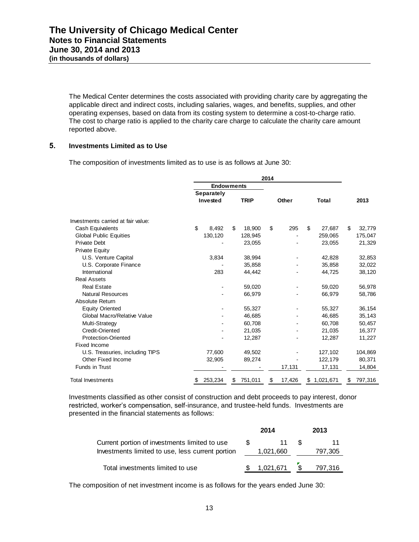The Medical Center determines the costs associated with providing charity care by aggregating the applicable direct and indirect costs, including salaries, wages, and benefits, supplies, and other operating expenses, based on data from its costing system to determine a cost-to-charge ratio. The cost to charge ratio is applied to the charity care charge to calculate the charity care amount reported above.

#### **5. Investments Limited as to Use**

The composition of investments limited as to use is as follows at June 30:

|                                               |                   |               | 2014 |        |              |              |
|-----------------------------------------------|-------------------|---------------|------|--------|--------------|--------------|
|                                               | <b>Endowments</b> |               |      |        |              |              |
|                                               | Separately        |               |      |        |              |              |
|                                               | Invested          | <b>TRIP</b>   |      | Other  | <b>Total</b> | 2013         |
| Investments carried at fair value:            |                   |               |      |        |              |              |
| Cash Equivalents                              | \$<br>8,492       | \$<br>18,900  | \$   | 295    | \$<br>27,687 | 32,779<br>\$ |
| <b>Global Public Equities</b>                 | 130,120           | 128,945       |      |        | 259,065      | 175,047      |
| <b>Private Debt</b>                           |                   |               |      |        |              |              |
|                                               |                   | 23,055        |      |        | 23,055       | 21,329       |
| <b>Private Equity</b><br>U.S. Venture Capital | 3,834             | 38,994        |      |        | 42,828       | 32,853       |
| U.S. Corporate Finance                        |                   | 35,858        |      |        | 35,858       | 32,022       |
| International                                 | 283               | 44,442        |      |        | 44,725       | 38,120       |
| <b>Real Assets</b>                            |                   |               |      |        |              |              |
| <b>Real Estate</b>                            |                   | 59,020        |      |        | 59,020       | 56,978       |
| <b>Natural Resources</b>                      |                   | 66,979        |      |        | 66,979       | 58,786       |
| Absolute Return                               |                   |               |      |        |              |              |
| <b>Equity Oriented</b>                        |                   | 55,327        |      |        | 55,327       | 36,154       |
| Global Macro/Relative Value                   |                   | 46,685        |      |        | 46,685       | 35,143       |
| Multi-Strategy                                |                   | 60,708        |      |        | 60,708       | 50,457       |
| <b>Credit-Oriented</b>                        |                   | 21,035        |      |        | 21,035       | 16,377       |
| <b>Protection-Oriented</b>                    |                   | 12,287        |      |        | 12,287       | 11,227       |
| Fixed Income                                  |                   |               |      |        |              |              |
| U.S. Treasuries, including TIPS               | 77,600            | 49,502        |      |        | 127,102      | 104,869      |
| Other Fixed Income                            | 32,905            | 89,274        |      |        | 122,179      | 80,371       |
| Funds in Trust                                |                   |               |      | 17,131 | 17,131       | 14,804       |
| <b>Total Investments</b>                      | 253,234           | \$<br>751,011 | \$   | 17,426 | \$1,021,671  | 797,316<br>S |

Investments classified as other consist of construction and debt proceeds to pay interest, donor restricted, worker's compensation, self-insurance, and trustee-held funds. Investments are presented in the financial statements as follows:

|                                                  | 2014      |      | 2013    |
|--------------------------------------------------|-----------|------|---------|
| Current portion of investments limited to use    |           | - SS | 11      |
| Investments limited to use, less current portion | 1,021,660 |      | 797,305 |
| Total investments limited to use                 | 1,021,671 |      | 797,316 |

The composition of net investment income is as follows for the years ended June 30: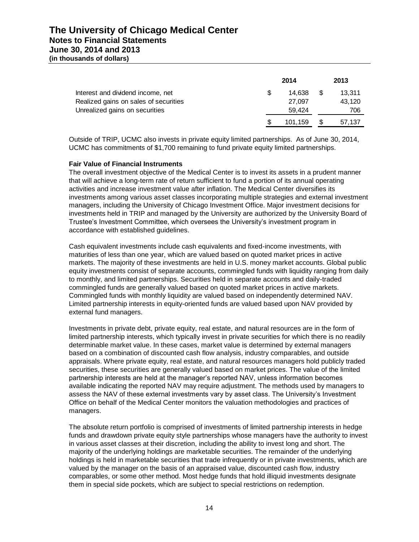|                                       | 2014         |   | 2013   |
|---------------------------------------|--------------|---|--------|
| Interest and dividend income, net     | \$<br>14.638 | S | 13.311 |
| Realized gains on sales of securities | 27.097       |   | 43,120 |
| Unrealized gains on securities        | 59.424       |   | 706    |
|                                       | 101.159      |   | 57,137 |

Outside of TRIP, UCMC also invests in private equity limited partnerships. As of June 30, 2014, UCMC has commitments of \$1,700 remaining to fund private equity limited partnerships.

#### **Fair Value of Financial Instruments**

The overall investment objective of the Medical Center is to invest its assets in a prudent manner that will achieve a long-term rate of return sufficient to fund a portion of its annual operating activities and increase investment value after inflation. The Medical Center diversifies its investments among various asset classes incorporating multiple strategies and external investment managers, including the University of Chicago Investment Office. Major investment decisions for investments held in TRIP and managed by the University are authorized by the University Board of Trustee's Investment Committee, which oversees the University's investment program in accordance with established guidelines.

Cash equivalent investments include cash equivalents and fixed-income investments, with maturities of less than one year, which are valued based on quoted market prices in active markets. The majority of these investments are held in U.S. money market accounts. Global public equity investments consist of separate accounts, commingled funds with liquidity ranging from daily to monthly, and limited partnerships. Securities held in separate accounts and daily-traded commingled funds are generally valued based on quoted market prices in active markets. Commingled funds with monthly liquidity are valued based on independently determined NAV. Limited partnership interests in equity-oriented funds are valued based upon NAV provided by external fund managers.

Investments in private debt, private equity, real estate, and natural resources are in the form of limited partnership interests, which typically invest in private securities for which there is no readily determinable market value. In these cases, market value is determined by external managers based on a combination of discounted cash flow analysis, industry comparables, and outside appraisals. Where private equity, real estate, and natural resources managers hold publicly traded securities, these securities are generally valued based on market prices. The value of the limited partnership interests are held at the manager's reported NAV, unless information becomes available indicating the reported NAV may require adjustment. The methods used by managers to assess the NAV of these external investments vary by asset class. The University's Investment Office on behalf of the Medical Center monitors the valuation methodologies and practices of managers.

The absolute return portfolio is comprised of investments of limited partnership interests in hedge funds and drawdown private equity style partnerships whose managers have the authority to invest in various asset classes at their discretion, including the ability to invest long and short. The majority of the underlying holdings are marketable securities. The remainder of the underlying holdings is held in marketable securities that trade infrequently or in private investments, which are valued by the manager on the basis of an appraised value, discounted cash flow, industry comparables, or some other method. Most hedge funds that hold illiquid investments designate them in special side pockets, which are subject to special restrictions on redemption.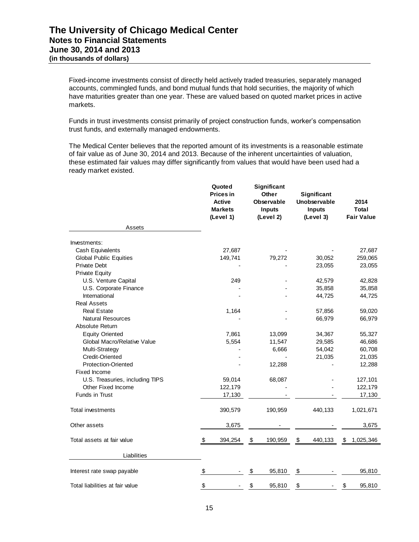Fixed-income investments consist of directly held actively traded treasuries, separately managed accounts, commingled funds, and bond mutual funds that hold securities, the majority of which have maturities greater than one year. These are valued based on quoted market prices in active markets.

Funds in trust investments consist primarily of project construction funds, worker's compensation trust funds, and externally managed endowments.

The Medical Center believes that the reported amount of its investments is a reasonable estimate of fair value as of June 30, 2014 and 2013. Because of the inherent uncertainties of valuation, these estimated fair values may differ significantly from values that would have been used had a ready market existed.

|                                 | Quoted<br><b>Prices in</b><br><b>Active</b><br><b>Markets</b><br>(Level 1) | Significant<br>Other<br><b>Observable</b><br>Inputs<br>(Level 2) | Significant<br>Unobservable<br><b>Inputs</b><br>(Level 3) | 2014<br><b>Total</b><br><b>Fair Value</b> |
|---------------------------------|----------------------------------------------------------------------------|------------------------------------------------------------------|-----------------------------------------------------------|-------------------------------------------|
| Assets                          |                                                                            |                                                                  |                                                           |                                           |
| Investments:                    |                                                                            |                                                                  |                                                           |                                           |
| Cash Equivalents                | 27,687                                                                     |                                                                  |                                                           | 27,687                                    |
| <b>Global Public Equities</b>   | 149,741                                                                    | 79,272                                                           | 30,052                                                    | 259,065                                   |
| <b>Private Debt</b>             |                                                                            |                                                                  | 23,055                                                    | 23,055                                    |
| <b>Private Equity</b>           |                                                                            |                                                                  |                                                           |                                           |
| U.S. Venture Capital            | 249                                                                        |                                                                  | 42,579                                                    | 42,828                                    |
| U.S. Corporate Finance          |                                                                            |                                                                  | 35,858                                                    | 35,858                                    |
| International                   |                                                                            |                                                                  | 44,725                                                    | 44,725                                    |
| <b>Real Assets</b>              |                                                                            |                                                                  |                                                           |                                           |
| <b>Real Estate</b>              | 1,164                                                                      |                                                                  | 57,856                                                    | 59,020                                    |
| <b>Natural Resources</b>        |                                                                            |                                                                  | 66,979                                                    | 66,979                                    |
| Absolute Return                 |                                                                            |                                                                  |                                                           |                                           |
| <b>Equity Oriented</b>          | 7,861                                                                      | 13,099                                                           | 34,367                                                    | 55,327                                    |
| Global Macro/Relative Value     | 5,554                                                                      | 11,547                                                           | 29,585                                                    | 46,686                                    |
| Multi-Strategy                  |                                                                            | 6,666                                                            | 54,042                                                    | 60,708                                    |
| Credit-Oriented                 |                                                                            |                                                                  | 21,035                                                    | 21,035                                    |
| <b>Protection-Oriented</b>      |                                                                            | 12,288                                                           |                                                           | 12,288                                    |
| <b>Fixed Income</b>             |                                                                            |                                                                  |                                                           |                                           |
| U.S. Treasuries, including TIPS | 59,014                                                                     | 68,087                                                           |                                                           | 127,101                                   |
| Other Fixed Income              | 122,179                                                                    |                                                                  |                                                           | 122,179                                   |
| Funds in Trust                  | 17,130                                                                     |                                                                  |                                                           | 17,130                                    |
| <b>Total investments</b>        | 390,579                                                                    | 190,959                                                          | 440,133                                                   | 1,021,671                                 |
| Other assets                    | 3,675                                                                      |                                                                  |                                                           | 3,675                                     |
| Total assets at fair value      | \$<br>394,254                                                              | \$<br>190,959                                                    | \$<br>440,133                                             | \$<br>1,025,346                           |
| Liabilities                     |                                                                            |                                                                  |                                                           |                                           |
| Interest rate swap payable      | \$                                                                         | \$<br>95,810                                                     | \$                                                        | 95,810                                    |
|                                 |                                                                            |                                                                  |                                                           |                                           |
| Total liabilities at fair value | \$                                                                         | \$<br>95,810                                                     | \$                                                        | \$<br>95,810                              |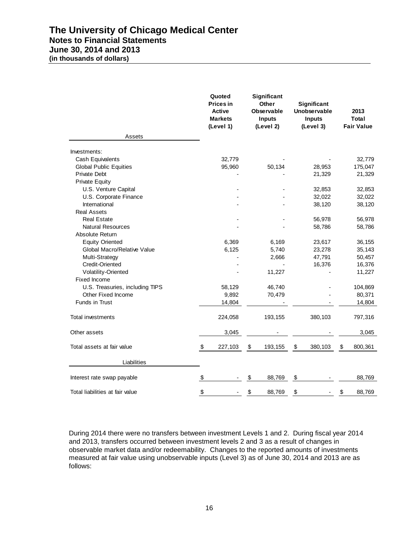### **The University of Chicago Medical Center Notes to Financial Statements June 30, 2014 and 2013**

**(in thousands of dollars)**

| Assets<br>Investments:<br>Cash Equivalents<br>32,779<br>32,779<br>95,960<br>50,134<br>28,953<br>175,047<br><b>Global Public Equities</b><br><b>Private Debt</b><br>21,329<br>21,329<br><b>Private Equity</b><br>U.S. Venture Capital<br>32,853<br>32,853<br>U.S. Corporate Finance<br>32,022<br>32,022 | <b>Fair Value</b> |
|--------------------------------------------------------------------------------------------------------------------------------------------------------------------------------------------------------------------------------------------------------------------------------------------------------|-------------------|
|                                                                                                                                                                                                                                                                                                        |                   |
|                                                                                                                                                                                                                                                                                                        |                   |
|                                                                                                                                                                                                                                                                                                        |                   |
|                                                                                                                                                                                                                                                                                                        |                   |
|                                                                                                                                                                                                                                                                                                        |                   |
|                                                                                                                                                                                                                                                                                                        |                   |
|                                                                                                                                                                                                                                                                                                        |                   |
|                                                                                                                                                                                                                                                                                                        |                   |
| International<br>38,120<br>38,120                                                                                                                                                                                                                                                                      |                   |
| <b>Real Assets</b>                                                                                                                                                                                                                                                                                     |                   |
| <b>Real Estate</b><br>56,978<br>56,978                                                                                                                                                                                                                                                                 |                   |
| <b>Natural Resources</b><br>58,786<br>58,786                                                                                                                                                                                                                                                           |                   |
| Absolute Return                                                                                                                                                                                                                                                                                        |                   |
| 6,369<br><b>Equity Oriented</b><br>6,169<br>23,617<br>36,155                                                                                                                                                                                                                                           |                   |
| Global Macro/Relative Value<br>6,125<br>5,740<br>23,278<br>35,143                                                                                                                                                                                                                                      |                   |
| Multi-Strategy<br>2,666<br>47,791<br>50,457                                                                                                                                                                                                                                                            |                   |
| Credit-Oriented<br>16,376<br>16,376                                                                                                                                                                                                                                                                    |                   |
| Volatility-Oriented<br>11,227<br>11,227                                                                                                                                                                                                                                                                |                   |
| Fixed Income                                                                                                                                                                                                                                                                                           |                   |
| U.S. Treasuries, including TIPS<br>58,129<br>46,740<br>104,869                                                                                                                                                                                                                                         |                   |
| 80,371<br>Other Fixed Income<br>9,892<br>70,479                                                                                                                                                                                                                                                        |                   |
| Funds in Trust<br>14,804<br>14,804                                                                                                                                                                                                                                                                     |                   |
| 380,103<br>Total investments<br>224,058<br>193,155<br>797,316                                                                                                                                                                                                                                          |                   |
|                                                                                                                                                                                                                                                                                                        |                   |
| 3,045<br>Other assets<br>3,045                                                                                                                                                                                                                                                                         |                   |
| Total assets at fair value<br>\$<br>227,103<br>\$<br>193,155<br>\$<br>380,103<br>\$<br>800,361                                                                                                                                                                                                         |                   |
| Liabilities                                                                                                                                                                                                                                                                                            |                   |
| \$<br>\$<br>88,769<br>\$<br>88,769<br>Interest rate swap payable                                                                                                                                                                                                                                       |                   |
| \$<br>\$<br>\$<br>\$<br>Total liabilities at fair value<br>88,769<br>88,769                                                                                                                                                                                                                            |                   |

During 2014 there were no transfers between investment Levels 1 and 2. During fiscal year 2014 and 2013, transfers occurred between investment levels 2 and 3 as a result of changes in observable market data and/or redeemability. Changes to the reported amounts of investments measured at fair value using unobservable inputs (Level 3) as of June 30, 2014 and 2013 are as follows: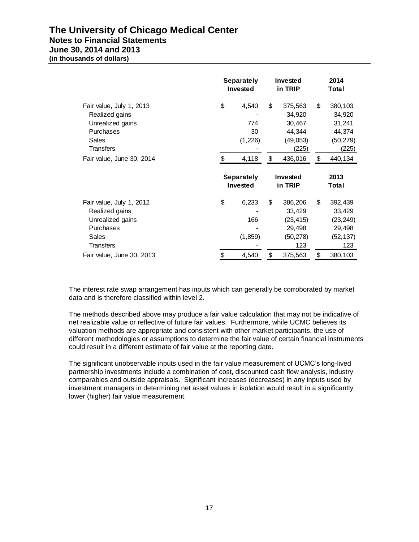## **The University of Chicago Medical Center Notes to Financial Statements**

## **June 30, 2014 and 2013**

**(in thousands of dollars)**

|                           | Separately<br>Invested | Invested<br>in TRIP | 2014<br>Total |
|---------------------------|------------------------|---------------------|---------------|
| Fair value, July 1, 2013  | \$<br>4,540            | \$<br>375,563       | \$<br>380,103 |
| Realized gains            |                        | 34,920              | 34,920        |
| Unrealized gains          | 774                    | 30,467              | 31,241        |
| Purchases                 | 30                     | 44,344              | 44,374        |
| Sales                     | (1, 226)               | (49, 053)           | (50, 279)     |
| <b>Transfers</b>          |                        | (225)               | (225)         |
| Fair value, June 30, 2014 | \$<br>4,118            | \$<br>436,016       | \$<br>440,134 |
|                           |                        |                     |               |
|                           | Separately<br>Invested | Invested<br>in TRIP | 2013<br>Total |
| Fair value, July 1, 2012  | \$<br>6,233            | \$<br>386,206       | \$<br>392,439 |
| Realized gains            |                        | 33,429              | 33,429        |
| Unrealized gains          | 166                    | (23, 415)           | (23, 249)     |
| Purchases                 |                        | 29,498              | 29,498        |
| Sales                     | (1,859)                | (50,278)            | (52, 137)     |
| <b>Transfers</b>          |                        | 123                 | 123           |

The interest rate swap arrangement has inputs which can generally be corroborated by market data and is therefore classified within level 2.

The methods described above may produce a fair value calculation that may not be indicative of net realizable value or reflective of future fair values. Furthermore, while UCMC believes its valuation methods are appropriate and consistent with other market participants, the use of different methodologies or assumptions to determine the fair value of certain financial instruments could result in a different estimate of fair value at the reporting date.

The significant unobservable inputs used in the fair value measurement of UCMC's long-lived partnership investments include a combination of cost, discounted cash flow analysis, industry comparables and outside appraisals. Significant increases (decreases) in any inputs used by investment managers in determining net asset values in isolation would result in a significantly lower (higher) fair value measurement.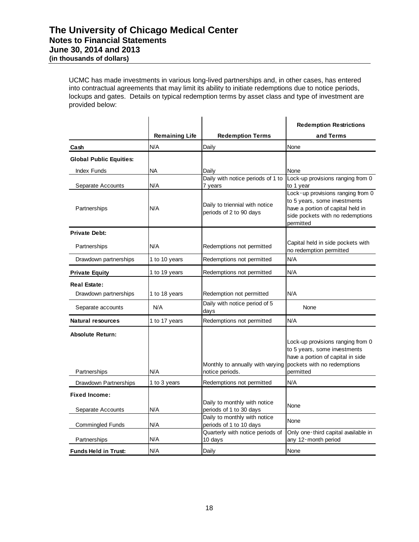UCMC has made investments in various long-lived partnerships and, in other cases, has entered into contractual agreements that may limit its ability to initiate redemptions due to notice periods, lockups and gates. Details on typical redemption terms by asset class and type of investment are provided below:

|                                              |                       |                                                           | <b>Redemption Restrictions</b>                                                                                                                          |
|----------------------------------------------|-----------------------|-----------------------------------------------------------|---------------------------------------------------------------------------------------------------------------------------------------------------------|
|                                              | <b>Remaining Life</b> | <b>Redemption Terms</b>                                   | and Terms                                                                                                                                               |
| Cash                                         | N/A                   | Daily                                                     | None                                                                                                                                                    |
| <b>Global Public Equities:</b>               |                       |                                                           |                                                                                                                                                         |
| <b>Index Funds</b>                           | <b>NA</b>             | Daily                                                     | None                                                                                                                                                    |
| Separate Accounts                            | N/A                   | Daily with notice periods of 1 to<br>7 years              | Lock-up provisions ranging from 0<br>to 1 year                                                                                                          |
| Partnerships                                 | N/A                   | Daily to triennial with notice<br>periods of 2 to 90 days | Lock-up provisions ranging from 0<br>to 5 years, some investments<br>have a portion of capital held in<br>side pockets with no redemptions<br>permitted |
| <b>Private Debt:</b>                         |                       |                                                           |                                                                                                                                                         |
| Partnerships                                 | N/A                   | Redemptions not permitted                                 | Capital held in side pockets with<br>no redemption permitted                                                                                            |
| Drawdown partnerships                        | 1 to 10 years         | Redemptions not permitted                                 | N/A                                                                                                                                                     |
| <b>Private Equity</b>                        | 1 to 19 years         | Redemptions not permitted                                 | N/A                                                                                                                                                     |
| <b>Real Estate:</b><br>Drawdown partnerships | 1 to 18 years         | Redemption not permitted                                  | N/A                                                                                                                                                     |
| Separate accounts                            | N/A                   | Daily with notice period of 5<br>days                     | None                                                                                                                                                    |
| Natural resources                            | 1 to 17 years         | Redemptions not permitted                                 | N/A                                                                                                                                                     |
| <b>Absolute Return:</b><br>Partnerships      | N/A                   | Monthly to annually with varying<br>notice periods.       | Lock-up provisions ranging from 0<br>to 5 years, some investments<br>have a portion of capital in side<br>pockets with no redemptions<br>permitted      |
| Drawdown Partnerships                        | 1 to 3 years          | Redemptions not permitted                                 | N/A                                                                                                                                                     |
| <b>Fixed Income:</b><br>Separate Accounts    | N/A                   | Daily to monthly with notice<br>periods of 1 to 30 days   | None                                                                                                                                                    |
| <b>Commingled Funds</b>                      | N/A                   | Daily to monthly with notice<br>periods of 1 to 10 days   | None                                                                                                                                                    |
| Partnerships                                 | N/A                   | Quarterly with notice periods of<br>10 days               | Only one-third capital available in<br>any 12-month period                                                                                              |
| <b>Funds Held in Trust:</b>                  | N/A                   | Daily                                                     | None                                                                                                                                                    |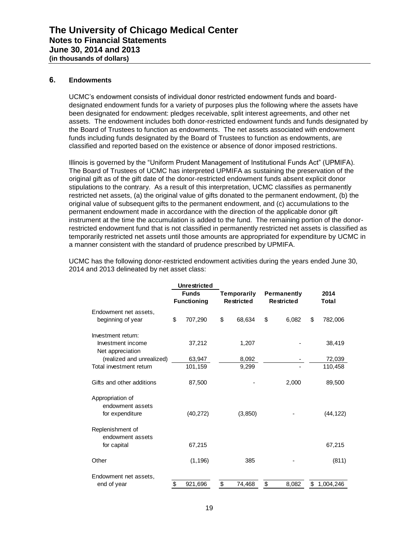#### **6. Endowments**

UCMC's endowment consists of individual donor restricted endowment funds and boarddesignated endowment funds for a variety of purposes plus the following where the assets have been designated for endowment: pledges receivable, split interest agreements, and other net assets. The endowment includes both donor-restricted endowment funds and funds designated by the Board of Trustees to function as endowments. The net assets associated with endowment funds including funds designated by the Board of Trustees to function as endowments, are classified and reported based on the existence or absence of donor imposed restrictions.

Illinois is governed by the "Uniform Prudent Management of Institutional Funds Act" (UPMIFA). The Board of Trustees of UCMC has interpreted UPMIFA as sustaining the preservation of the original gift as of the gift date of the donor-restricted endowment funds absent explicit donor stipulations to the contrary. As a result of this interpretation, UCMC classifies as permanently restricted net assets, (a) the original value of gifts donated to the permanent endowment, (b) the original value of subsequent gifts to the permanent endowment, and (c) accumulations to the permanent endowment made in accordance with the direction of the applicable donor gift instrument at the time the accumulation is added to the fund. The remaining portion of the donorrestricted endowment fund that is not classified in permanently restricted net assets is classified as temporarily restricted net assets until those amounts are appropriated for expenditure by UCMC in a manner consistent with the standard of prudence prescribed by UPMIFA.

UCMC has the following donor-restricted endowment activities during the years ended June 30, 2014 and 2013 delineated by net asset class:

|                                                         | <b>Unrestricted</b>                |                                         |                                         |               |
|---------------------------------------------------------|------------------------------------|-----------------------------------------|-----------------------------------------|---------------|
|                                                         | <b>Funds</b><br><b>Functioning</b> | <b>Temporarily</b><br><b>Restricted</b> | <b>Permanently</b><br><b>Restricted</b> | 2014<br>Total |
| Endowment net assets,                                   |                                    |                                         |                                         |               |
| beginning of year                                       | \$<br>707,290                      | \$<br>68.634                            | \$<br>6.082                             | \$<br>782,006 |
| Investment return:                                      |                                    |                                         |                                         |               |
| Investment income<br>Net appreciation                   | 37,212                             | 1,207                                   |                                         | 38,419        |
| (realized and unrealized)                               | 63,947                             | 8,092                                   |                                         | 72,039        |
| Total investment return                                 | 101,159                            | 9,299                                   |                                         | 110,458       |
| Gifts and other additions                               | 87,500                             |                                         | 2,000                                   | 89,500        |
| Appropriation of<br>endowment assets<br>for expenditure | (40, 272)                          | (3, 850)                                |                                         | (44, 122)     |
| Replenishment of<br>endowment assets                    |                                    |                                         |                                         |               |
| for capital                                             | 67,215                             |                                         |                                         | 67,215        |
| Other                                                   | (1, 196)                           | 385                                     |                                         | (811)         |
| Endowment net assets,                                   |                                    |                                         |                                         |               |
| end of year                                             | \$<br>921,696                      | \$<br>74,468                            | \$<br>8,082                             | \$1,004,246   |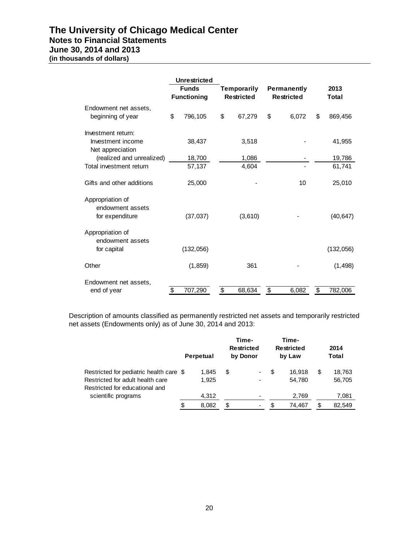## **The University of Chicago Medical Center Notes to Financial Statements**

## **June 30, 2014 and 2013**

**(in thousands of dollars)**

|                                                         | <b>Unrestricted</b><br><b>Funds</b><br><b>Functioning</b> |                 | <b>Temporarily</b><br><b>Restricted</b> | <b>Permanently</b><br><b>Restricted</b> |                          | 2013<br>Total |
|---------------------------------------------------------|-----------------------------------------------------------|-----------------|-----------------------------------------|-----------------------------------------|--------------------------|---------------|
| Endowment net assets,                                   |                                                           |                 |                                         |                                         |                          |               |
| beginning of year                                       | \$<br>796,105                                             | \$              | 67,279                                  | \$<br>6,072                             | \$                       | 869,456       |
| Investment return:                                      |                                                           |                 |                                         |                                         |                          |               |
| Investment income<br>Net appreciation                   | 38,437                                                    |                 | 3,518                                   |                                         |                          | 41,955        |
| (realized and unrealized)                               | 18,700                                                    |                 | 1,086                                   |                                         |                          | 19,786        |
| Total investment return                                 | 57,137                                                    |                 | 4,604                                   |                                         |                          | 61,741        |
| Gifts and other additions                               | 25,000                                                    |                 |                                         | 10                                      |                          | 25,010        |
| Appropriation of<br>endowment assets<br>for expenditure | (37,037)                                                  |                 | (3,610)                                 |                                         |                          | (40, 647)     |
| Appropriation of<br>endowment assets                    |                                                           |                 |                                         |                                         |                          |               |
| for capital                                             | (132,056)                                                 |                 |                                         |                                         |                          | (132,056)     |
| Other                                                   | (1, 859)                                                  |                 | 361                                     |                                         |                          | (1, 498)      |
| Endowment net assets,                                   |                                                           |                 |                                         |                                         |                          |               |
| end of year                                             | \$<br>707,290                                             | $\overline{\$}$ | 68,634                                  | \$<br>6,082                             | $\overline{\mathcal{S}}$ | 782,006       |

Description of amounts classified as permanently restricted net assets and temporarily restricted net assets (Endowments only) as of June 30, 2014 and 2013:

|                                                                                                               | <b>Perpetual</b> |    | Time-<br><b>Restricted</b><br>by Donor | Time-<br><b>Restricted</b><br>by Law | 2014<br>Total          |
|---------------------------------------------------------------------------------------------------------------|------------------|----|----------------------------------------|--------------------------------------|------------------------|
| Restricted for pediatric health care \$<br>Restricted for adult health care<br>Restricted for educational and | 1.845<br>1.925   | \$ | ٠<br>٠                                 | \$<br>16.918<br>54.780               | \$<br>18,763<br>56,705 |
| scientific programs                                                                                           | 4,312            |    | ٠                                      | 2,769                                | 7,081                  |
|                                                                                                               | \$<br>8,082      | ß. | ٠                                      | 74.467                               | 82.549                 |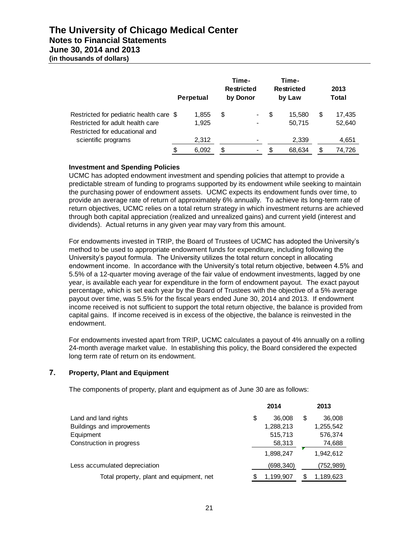## **The University of Chicago Medical Center Notes to Financial Statements June 30, 2014 and 2013**

**(in thousands of dollars)**

|                                                                                                               | <b>Perpetual</b> |    | Time-<br><b>Restricted</b><br>by Donor     |    | Time-<br><b>Restricted</b><br>by Law |   | 2013<br>Total    |
|---------------------------------------------------------------------------------------------------------------|------------------|----|--------------------------------------------|----|--------------------------------------|---|------------------|
| Restricted for pediatric health care \$<br>Restricted for adult health care<br>Restricted for educational and | 1.855<br>1.925   | S  | $\blacksquare$<br>$\overline{\phantom{a}}$ | S  | 15.580<br>50.715                     | S | 17.435<br>52,640 |
| scientific programs                                                                                           | 2,312            |    | $\blacksquare$                             |    | 2,339                                |   | 4,651            |
|                                                                                                               | \$<br>6,092      | S. | $\overline{\phantom{a}}$                   | \$ | 68.634                               | S | 74.726           |

#### **Investment and Spending Policies**

UCMC has adopted endowment investment and spending policies that attempt to provide a predictable stream of funding to programs supported by its endowment while seeking to maintain the purchasing power of endowment assets. UCMC expects its endowment funds over time, to provide an average rate of return of approximately 6% annually. To achieve its long-term rate of return objectives, UCMC relies on a total return strategy in which investment returns are achieved through both capital appreciation (realized and unrealized gains) and current yield (interest and dividends). Actual returns in any given year may vary from this amount.

For endowments invested in TRIP, the Board of Trustees of UCMC has adopted the University's method to be used to appropriate endowment funds for expenditure, including following the University's payout formula. The University utilizes the total return concept in allocating endowment income. In accordance with the University's total return objective, between 4.5% and 5.5% of a 12-quarter moving average of the fair value of endowment investments, lagged by one year, is available each year for expenditure in the form of endowment payout. The exact payout percentage, which is set each year by the Board of Trustees with the objective of a 5% average payout over time, was 5.5% for the fiscal years ended June 30, 2014 and 2013. If endowment income received is not sufficient to support the total return objective, the balance is provided from capital gains. If income received is in excess of the objective, the balance is reinvested in the endowment.

For endowments invested apart from TRIP, UCMC calculates a payout of 4% annually on a rolling 24-month average market value. In establishing this policy, the Board considered the expected long term rate of return on its endowment.

#### **7. Property, Plant and Equipment**

The components of property, plant and equipment as of June 30 are as follows:

| 2014         |   | 2013       |
|--------------|---|------------|
| \$<br>36,008 | S | 36,008     |
| 1,288,213    |   | 1,255,542  |
| 515,713      |   | 576,374    |
| 58,313       |   | 74,688     |
| 1,898,247    |   | 1,942,612  |
| (698, 340)   |   | (752, 989) |
| 1,199,907    |   | 1,189,623  |
|              |   |            |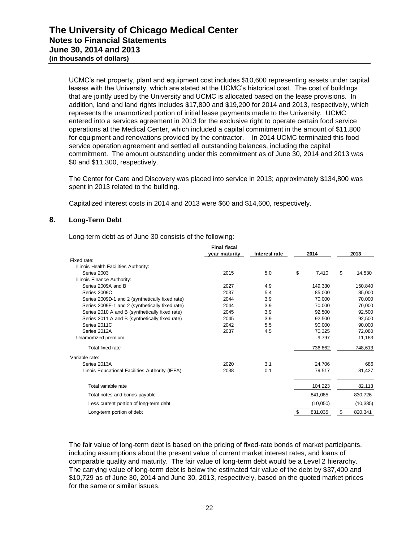UCMC's net property, plant and equipment cost includes \$10,600 representing assets under capital leases with the University, which are stated at the UCMC's historical cost. The cost of buildings that are jointly used by the University and UCMC is allocated based on the lease provisions. In addition, land and land rights includes \$17,800 and \$19,200 for 2014 and 2013, respectively, which represents the unamortized portion of initial lease payments made to the University. UCMC entered into a services agreement in 2013 for the exclusive right to operate certain food service operations at the Medical Center, which included a capital commitment in the amount of \$11,800 for equipment and renovations provided by the contractor. In 2014 UCMC terminated this food service operation agreement and settled all outstanding balances, including the capital commitment. The amount outstanding under this commitment as of June 30, 2014 and 2013 was \$0 and \$11,300, respectively.

The Center for Care and Discovery was placed into service in 2013; approximately \$134,800 was spent in 2013 related to the building.

Capitalized interest costs in 2014 and 2013 were \$60 and \$14,600, respectively.

#### **8. Long-Term Debt**

Long-term debt as of June 30 consists of the following:

| 2014<br>2013<br>year maturity<br>Interest rate<br>Illinois Health Facilities Authority:<br>\$<br>\$<br>2015<br>5.0<br>14,530<br>Series 2003<br>7,410<br>Illinois Finance Authority:<br>Series 2009A and B<br>149,330<br>150,840<br>2027<br>4.9<br>Series 2009C<br>2037<br>85,000<br>5.4<br>85,000<br>70.000<br>70,000<br>Series 2009D-1 and 2 (synthetically fixed rate)<br>2044<br>3.9<br>70,000<br>Series 2009E-1 and 2 (synthetically fixed rate)<br>2044<br>3.9<br>70,000<br>Series 2010 A and B (synthetically fixed rate)<br>92,500<br>92,500<br>2045<br>3.9<br>Series 2011 A and B (synthetically fixed rate)<br>2045<br>3.9<br>92.500<br>92,500<br>Series 2011C<br>90,000<br>2042<br>5.5<br>90.000<br>Series 2012A<br>2037<br>4.5<br>70,325<br>72,080<br>9,797<br>11,163<br>Unamortized premium<br>Total fixed rate<br>748,613<br>736,862<br>2020<br>3.1<br>686<br>Series 2013A<br>24,706<br>2038<br>0.1<br>79,517<br>Illinois Educational Facilities Authority (IEFA)<br>81,427<br>82,113<br>Total variable rate<br>104,223<br>841,085<br>830,726<br>Total notes and bonds payable<br>(10,050)<br>(10, 385)<br>Less current portion of long-term debt<br>831,035<br>820,341<br>\$<br>Long-term portion of debt |                | <b>Final fiscal</b> |  |  |  |
|-------------------------------------------------------------------------------------------------------------------------------------------------------------------------------------------------------------------------------------------------------------------------------------------------------------------------------------------------------------------------------------------------------------------------------------------------------------------------------------------------------------------------------------------------------------------------------------------------------------------------------------------------------------------------------------------------------------------------------------------------------------------------------------------------------------------------------------------------------------------------------------------------------------------------------------------------------------------------------------------------------------------------------------------------------------------------------------------------------------------------------------------------------------------------------------------------------------------------|----------------|---------------------|--|--|--|
|                                                                                                                                                                                                                                                                                                                                                                                                                                                                                                                                                                                                                                                                                                                                                                                                                                                                                                                                                                                                                                                                                                                                                                                                                         |                |                     |  |  |  |
|                                                                                                                                                                                                                                                                                                                                                                                                                                                                                                                                                                                                                                                                                                                                                                                                                                                                                                                                                                                                                                                                                                                                                                                                                         | Fixed rate:    |                     |  |  |  |
|                                                                                                                                                                                                                                                                                                                                                                                                                                                                                                                                                                                                                                                                                                                                                                                                                                                                                                                                                                                                                                                                                                                                                                                                                         |                |                     |  |  |  |
|                                                                                                                                                                                                                                                                                                                                                                                                                                                                                                                                                                                                                                                                                                                                                                                                                                                                                                                                                                                                                                                                                                                                                                                                                         |                |                     |  |  |  |
|                                                                                                                                                                                                                                                                                                                                                                                                                                                                                                                                                                                                                                                                                                                                                                                                                                                                                                                                                                                                                                                                                                                                                                                                                         |                |                     |  |  |  |
|                                                                                                                                                                                                                                                                                                                                                                                                                                                                                                                                                                                                                                                                                                                                                                                                                                                                                                                                                                                                                                                                                                                                                                                                                         |                |                     |  |  |  |
|                                                                                                                                                                                                                                                                                                                                                                                                                                                                                                                                                                                                                                                                                                                                                                                                                                                                                                                                                                                                                                                                                                                                                                                                                         |                |                     |  |  |  |
|                                                                                                                                                                                                                                                                                                                                                                                                                                                                                                                                                                                                                                                                                                                                                                                                                                                                                                                                                                                                                                                                                                                                                                                                                         |                |                     |  |  |  |
|                                                                                                                                                                                                                                                                                                                                                                                                                                                                                                                                                                                                                                                                                                                                                                                                                                                                                                                                                                                                                                                                                                                                                                                                                         |                |                     |  |  |  |
|                                                                                                                                                                                                                                                                                                                                                                                                                                                                                                                                                                                                                                                                                                                                                                                                                                                                                                                                                                                                                                                                                                                                                                                                                         |                |                     |  |  |  |
|                                                                                                                                                                                                                                                                                                                                                                                                                                                                                                                                                                                                                                                                                                                                                                                                                                                                                                                                                                                                                                                                                                                                                                                                                         |                |                     |  |  |  |
|                                                                                                                                                                                                                                                                                                                                                                                                                                                                                                                                                                                                                                                                                                                                                                                                                                                                                                                                                                                                                                                                                                                                                                                                                         |                |                     |  |  |  |
|                                                                                                                                                                                                                                                                                                                                                                                                                                                                                                                                                                                                                                                                                                                                                                                                                                                                                                                                                                                                                                                                                                                                                                                                                         |                |                     |  |  |  |
|                                                                                                                                                                                                                                                                                                                                                                                                                                                                                                                                                                                                                                                                                                                                                                                                                                                                                                                                                                                                                                                                                                                                                                                                                         |                |                     |  |  |  |
|                                                                                                                                                                                                                                                                                                                                                                                                                                                                                                                                                                                                                                                                                                                                                                                                                                                                                                                                                                                                                                                                                                                                                                                                                         |                |                     |  |  |  |
|                                                                                                                                                                                                                                                                                                                                                                                                                                                                                                                                                                                                                                                                                                                                                                                                                                                                                                                                                                                                                                                                                                                                                                                                                         | Variable rate: |                     |  |  |  |
|                                                                                                                                                                                                                                                                                                                                                                                                                                                                                                                                                                                                                                                                                                                                                                                                                                                                                                                                                                                                                                                                                                                                                                                                                         |                |                     |  |  |  |
|                                                                                                                                                                                                                                                                                                                                                                                                                                                                                                                                                                                                                                                                                                                                                                                                                                                                                                                                                                                                                                                                                                                                                                                                                         |                |                     |  |  |  |
|                                                                                                                                                                                                                                                                                                                                                                                                                                                                                                                                                                                                                                                                                                                                                                                                                                                                                                                                                                                                                                                                                                                                                                                                                         |                |                     |  |  |  |
|                                                                                                                                                                                                                                                                                                                                                                                                                                                                                                                                                                                                                                                                                                                                                                                                                                                                                                                                                                                                                                                                                                                                                                                                                         |                |                     |  |  |  |
|                                                                                                                                                                                                                                                                                                                                                                                                                                                                                                                                                                                                                                                                                                                                                                                                                                                                                                                                                                                                                                                                                                                                                                                                                         |                |                     |  |  |  |
|                                                                                                                                                                                                                                                                                                                                                                                                                                                                                                                                                                                                                                                                                                                                                                                                                                                                                                                                                                                                                                                                                                                                                                                                                         |                |                     |  |  |  |

The fair value of long-term debt is based on the pricing of fixed-rate bonds of market participants, including assumptions about the present value of current market interest rates, and loans of comparable quality and maturity. The fair value of long-term debt would be a Level 2 hierarchy. The carrying value of long-term debt is below the estimated fair value of the debt by \$37,400 and \$10,729 as of June 30, 2014 and June 30, 2013, respectively, based on the quoted market prices for the same or similar issues.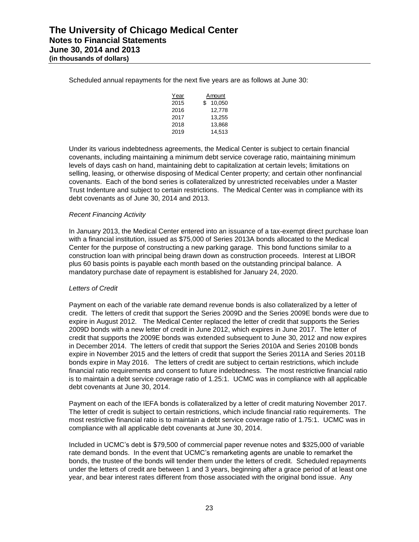Scheduled annual repayments for the next five years are as follows at June 30:

| Year | Amount       |
|------|--------------|
| 2015 | 10.050<br>\$ |
| 2016 | 12.778       |
| 2017 | 13.255       |
| 2018 | 13.868       |
| 2019 | 14.513       |
|      |              |

Under its various indebtedness agreements, the Medical Center is subject to certain financial covenants, including maintaining a minimum debt service coverage ratio, maintaining minimum levels of days cash on hand, maintaining debt to capitalization at certain levels; limitations on selling, leasing, or otherwise disposing of Medical Center property; and certain other nonfinancial covenants. Each of the bond series is collateralized by unrestricted receivables under a Master Trust Indenture and subject to certain restrictions. The Medical Center was in compliance with its debt covenants as of June 30, 2014 and 2013.

#### *Recent Financing Activity*

In January 2013, the Medical Center entered into an issuance of a tax-exempt direct purchase loan with a financial institution, issued as \$75,000 of Series 2013A bonds allocated to the Medical Center for the purpose of constructing a new parking garage. This bond functions similar to a construction loan with principal being drawn down as construction proceeds. Interest at LIBOR plus 60 basis points is payable each month based on the outstanding principal balance. A mandatory purchase date of repayment is established for January 24, 2020.

#### *Letters of Credit*

Payment on each of the variable rate demand revenue bonds is also collateralized by a letter of credit. The letters of credit that support the Series 2009D and the Series 2009E bonds were due to expire in August 2012. The Medical Center replaced the letter of credit that supports the Series 2009D bonds with a new letter of credit in June 2012, which expires in June 2017. The letter of credit that supports the 2009E bonds was extended subsequent to June 30, 2012 and now expires in December 2014. The letters of credit that support the Series 2010A and Series 2010B bonds expire in November 2015 and the letters of credit that support the Series 2011A and Series 2011B bonds expire in May 2016. The letters of credit are subject to certain restrictions, which include financial ratio requirements and consent to future indebtedness. The most restrictive financial ratio is to maintain a debt service coverage ratio of 1.25:1. UCMC was in compliance with all applicable debt covenants at June 30, 2014.

Payment on each of the IEFA bonds is collateralized by a letter of credit maturing November 2017. The letter of credit is subject to certain restrictions, which include financial ratio requirements. The most restrictive financial ratio is to maintain a debt service coverage ratio of 1.75:1. UCMC was in compliance with all applicable debt covenants at June 30, 2014.

Included in UCMC's debt is \$79,500 of commercial paper revenue notes and \$325,000 of variable rate demand bonds. In the event that UCMC's remarketing agents are unable to remarket the bonds, the trustee of the bonds will tender them under the letters of credit. Scheduled repayments under the letters of credit are between 1 and 3 years, beginning after a grace period of at least one year, and bear interest rates different from those associated with the original bond issue. Any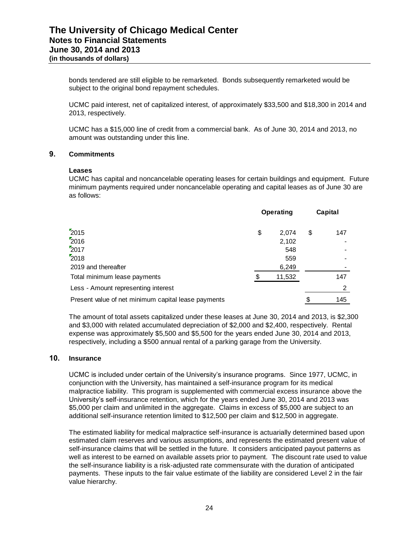bonds tendered are still eligible to be remarketed. Bonds subsequently remarketed would be subject to the original bond repayment schedules.

UCMC paid interest, net of capitalized interest, of approximately \$33,500 and \$18,300 in 2014 and 2013, respectively.

UCMC has a \$15,000 line of credit from a commercial bank. As of June 30, 2014 and 2013, no amount was outstanding under this line.

#### **9. Commitments**

#### **Leases**

UCMC has capital and noncancelable operating leases for certain buildings and equipment. Future minimum payments required under noncancelable operating and capital leases as of June 30 are as follows:

|                                                     | <b>Operating</b> | Capital |                |  |
|-----------------------------------------------------|------------------|---------|----------------|--|
| 2015                                                | \$<br>2.074      | \$      | 147            |  |
| 2016                                                | 2,102            |         |                |  |
| 2017                                                | 548              |         | $\blacksquare$ |  |
| 2018                                                | 559              |         |                |  |
| 2019 and thereafter                                 | 6,249            |         |                |  |
| Total minimum lease payments                        | 11,532           |         | 147            |  |
| Less - Amount representing interest                 |                  |         | 2              |  |
| Present value of net minimum capital lease payments |                  | \$      | 145            |  |

The amount of total assets capitalized under these leases at June 30, 2014 and 2013, is \$2,300 and \$3,000 with related accumulated depreciation of \$2,000 and \$2,400, respectively. Rental expense was approximately \$5,500 and \$5,500 for the years ended June 30, 2014 and 2013, respectively, including a \$500 annual rental of a parking garage from the University.

#### **10. Insurance**

UCMC is included under certain of the University's insurance programs. Since 1977, UCMC, in conjunction with the University, has maintained a self-insurance program for its medical malpractice liability. This program is supplemented with commercial excess insurance above the University's self-insurance retention, which for the years ended June 30, 2014 and 2013 was \$5,000 per claim and unlimited in the aggregate. Claims in excess of \$5,000 are subject to an additional self-insurance retention limited to \$12,500 per claim and \$12,500 in aggregate.

The estimated liability for medical malpractice self-insurance is actuarially determined based upon estimated claim reserves and various assumptions, and represents the estimated present value of self-insurance claims that will be settled in the future. It considers anticipated payout patterns as well as interest to be earned on available assets prior to payment. The discount rate used to value the self-insurance liability is a risk-adjusted rate commensurate with the duration of anticipated payments. These inputs to the fair value estimate of the liability are considered Level 2 in the fair value hierarchy.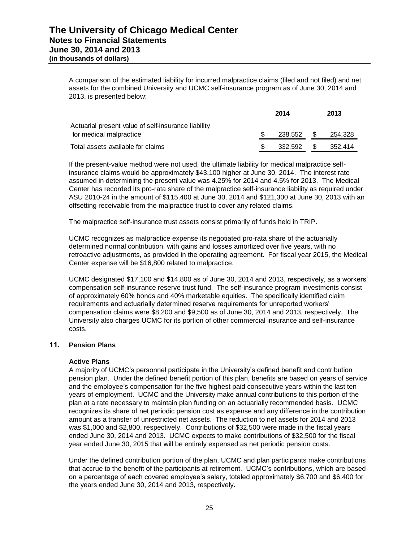A comparison of the estimated liability for incurred malpractice claims (filed and not filed) and net assets for the combined University and UCMC self-insurance program as of June 30, 2014 and 2013, is presented below:

|                                                     | 2014    |      | 2013    |
|-----------------------------------------------------|---------|------|---------|
| Actuarial present value of self-insurance liability |         |      |         |
| for medical malpractice                             | 238.552 | - \$ | 254.328 |
| Total assets available for claims                   | 332.592 | - \$ | 352.414 |

If the present-value method were not used, the ultimate liability for medical malpractice selfinsurance claims would be approximately \$43,100 higher at June 30, 2014. The interest rate assumed in determining the present value was 4.25% for 2014 and 4.5% for 2013. The Medical Center has recorded its pro-rata share of the malpractice self-insurance liability as required under ASU 2010-24 in the amount of \$115,400 at June 30, 2014 and \$121,300 at June 30, 2013 with an offsetting receivable from the malpractice trust to cover any related claims.

The malpractice self-insurance trust assets consist primarily of funds held in TRIP.

UCMC recognizes as malpractice expense its negotiated pro-rata share of the actuarially determined normal contribution, with gains and losses amortized over five years, with no retroactive adjustments, as provided in the operating agreement. For fiscal year 2015, the Medical Center expense will be \$16,800 related to malpractice.

UCMC designated \$17,100 and \$14,800 as of June 30, 2014 and 2013, respectively, as a workers' compensation self-insurance reserve trust fund. The self-insurance program investments consist of approximately 60% bonds and 40% marketable equities. The specifically identified claim requirements and actuarially determined reserve requirements for unreported workers' compensation claims were \$8,200 and \$9,500 as of June 30, 2014 and 2013, respectively. The University also charges UCMC for its portion of other commercial insurance and self-insurance costs.

#### **11. Pension Plans**

#### **Active Plans**

A majority of UCMC's personnel participate in the University's defined benefit and contribution pension plan. Under the defined benefit portion of this plan, benefits are based on years of service and the employee's compensation for the five highest paid consecutive years within the last ten years of employment. UCMC and the University make annual contributions to this portion of the plan at a rate necessary to maintain plan funding on an actuarially recommended basis. UCMC recognizes its share of net periodic pension cost as expense and any difference in the contribution amount as a transfer of unrestricted net assets. The reduction to net assets for 2014 and 2013 was \$1,000 and \$2,800, respectively. Contributions of \$32,500 were made in the fiscal years ended June 30, 2014 and 2013. UCMC expects to make contributions of \$32,500 for the fiscal year ended June 30, 2015 that will be entirely expensed as net periodic pension costs.

Under the defined contribution portion of the plan, UCMC and plan participants make contributions that accrue to the benefit of the participants at retirement. UCMC's contributions, which are based on a percentage of each covered employee's salary, totaled approximately \$6,700 and \$6,400 for the years ended June 30, 2014 and 2013, respectively.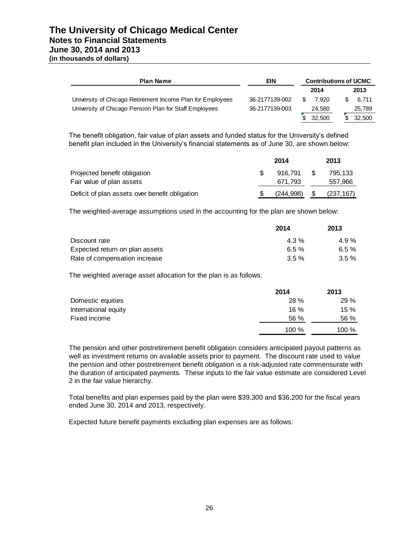## **The University of Chicago Medical Center Notes to Financial Statements June 30, 2014 and 2013**

**(in thousands of dollars)**

| <b>Plan Name</b>                                           | EIN            | <b>Contributions of UCMC</b> |        |  |        |
|------------------------------------------------------------|----------------|------------------------------|--------|--|--------|
|                                                            |                |                              | 2014   |  | 2013   |
| University of Chicago Retirement Income Plan for Employees | 36-2177139-002 |                              | 7.920  |  | 6.711  |
| University of Chicago Pension Plan for Staff Employees     | 36-2177139-003 |                              | 24,580 |  | 25,789 |
|                                                            |                |                              | 32.500 |  | 32.500 |

The benefit obligation, fair value of plan assets and funded status for the University's defined benefit plan included in the University's financial statements as of June 30, are shown below:

|                                                | 2014      | 2013       |
|------------------------------------------------|-----------|------------|
| Projected benefit obligation                   | 916.791   | 795.133    |
| Fair value of plan assets                      | 671.793   | 557,966    |
| Deficit of plan assets over benefit obligation | (244.998) | (237, 167) |

The weighted-average assumptions used in the accounting for the plan are shown below:

|                                | 2014     | 2013     |
|--------------------------------|----------|----------|
| Discount rate                  | $4.3\%$  | 4.9 %    |
| Expected return on plan assets | $6.5 \%$ | 6.5 $%$  |
| Rate of compensation increase  | $3.5\%$  | $3.5 \%$ |

The weighted average asset allocation for the plan is as follows:

|                      | 2014  | 2013    |
|----------------------|-------|---------|
| Domestic equities    | 28 %  | 29%     |
| International equity | 16%   | $15 \%$ |
| Fixed income         | 56 %  | 56 %    |
|                      | 100 % | 100 %   |

The pension and other postretirement benefit obligation considers anticipated payout patterns as well as investment returns on available assets prior to payment. The discount rate used to value the pension and other postretirement benefit obligation is a risk-adjusted rate commensurate with the duration of anticipated payments. These inputs to the fair value estimate are considered Level 2 in the fair value hierarchy.

Total benefits and plan expenses paid by the plan were \$39,300 and \$36,200 for the fiscal years ended June 30, 2014 and 2013, respectively.

Expected future benefit payments excluding plan expenses are as follows: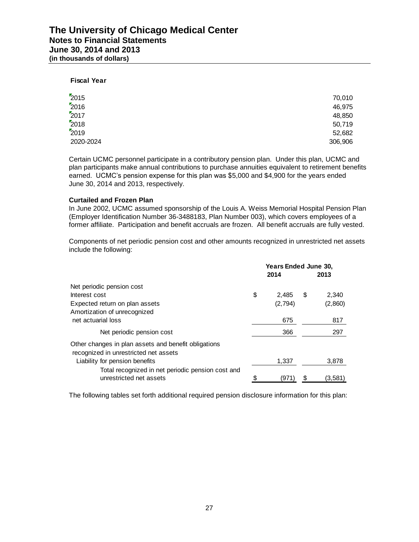#### **Fiscal Year**

| 2015      | 70,010  |
|-----------|---------|
| 2016      | 46,975  |
| 2017      | 48,850  |
| 2018      | 50,719  |
| 2019      | 52,682  |
| 2020-2024 | 306,906 |

Certain UCMC personnel participate in a contributory pension plan. Under this plan, UCMC and plan participants make annual contributions to purchase annuities equivalent to retirement benefits earned. UCMC's pension expense for this plan was \$5,000 and \$4,900 for the years ended June 30, 2014 and 2013, respectively.

#### **Curtailed and Frozen Plan**

In June 2002, UCMC assumed sponsorship of the Louis A. Weiss Memorial Hospital Pension Plan (Employer Identification Number 36-3488183, Plan Number 003), which covers employees of a former affiliate. Participation and benefit accruals are frozen. All benefit accruals are fully vested.

Components of net periodic pension cost and other amounts recognized in unrestricted net assets include the following:

|                                                      | <b>Years Ended June 30,</b><br>2014<br>2013 |    |         |
|------------------------------------------------------|---------------------------------------------|----|---------|
| Net periodic pension cost                            |                                             |    |         |
| Interest cost                                        | \$<br>2,485                                 | \$ | 2,340   |
| Expected return on plan assets                       | (2,794)                                     |    | (2,860) |
| Amortization of unrecognized                         |                                             |    |         |
| net actuarial loss                                   | 675                                         |    | 817     |
| Net periodic pension cost                            | 366                                         |    | 297     |
| Other changes in plan assets and benefit obligations |                                             |    |         |
| recognized in unrestricted net assets                |                                             |    |         |
| Liability for pension benefits                       | 1,337                                       |    | 3,878   |
| Total recognized in net periodic pension cost and    |                                             |    |         |
| unrestricted net assets                              | \$<br>(971                                  | \$ | (3,581) |

The following tables set forth additional required pension disclosure information for this plan: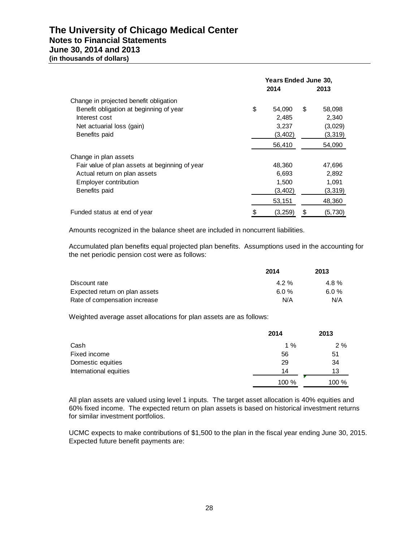### **The University of Chicago Medical Center Notes to Financial Statements June 30, 2014 and 2013**

**(in thousands of dollars)**

|                                                | <b>Years Ended June 30,</b><br>2014 | 2013 |         |
|------------------------------------------------|-------------------------------------|------|---------|
| Change in projected benefit obligation         |                                     |      |         |
| Benefit obligation at beginning of year        | \$<br>54,090                        | S    | 58,098  |
| Interest cost                                  | 2,485                               |      | 2,340   |
| Net actuarial loss (gain)                      | 3,237                               |      | (3,029) |
| Benefits paid                                  | (3, 402)                            |      | (3,319) |
|                                                | 56,410                              |      | 54,090  |
| Change in plan assets                          |                                     |      |         |
| Fair value of plan assets at beginning of year | 48,360                              |      | 47,696  |
| Actual return on plan assets                   | 6,693                               |      | 2,892   |
| Employer contribution                          | 1,500                               |      | 1,091   |
| Benefits paid                                  | (3, 402)                            |      | (3,319) |
|                                                | 53,151                              |      | 48,360  |
| Funded status at end of year                   | \$<br>(3,259)                       | S    | (5,730) |

Amounts recognized in the balance sheet are included in noncurrent liabilities.

Accumulated plan benefits equal projected plan benefits. Assumptions used in the accounting for the net periodic pension cost were as follows:

|                                | 2014    | 2013  |
|--------------------------------|---------|-------|
| Discount rate                  | $4.2\%$ | 4.8%  |
| Expected return on plan assets | 6.0 $%$ | 6.0 % |
| Rate of compensation increase  | N/A     | N/A   |

Weighted average asset allocations for plan assets are as follows:

|                        | 2014  | 2013  |
|------------------------|-------|-------|
| Cash                   | 1 $%$ | 2%    |
| Fixed income           | 56    | 51    |
| Domestic equities      | 29    | 34    |
| International equities | 14    | 13    |
|                        | 100 % | 100 % |

All plan assets are valued using level 1 inputs. The target asset allocation is 40% equities and 60% fixed income. The expected return on plan assets is based on historical investment returns for similar investment portfolios.

UCMC expects to make contributions of \$1,500 to the plan in the fiscal year ending June 30, 2015. Expected future benefit payments are: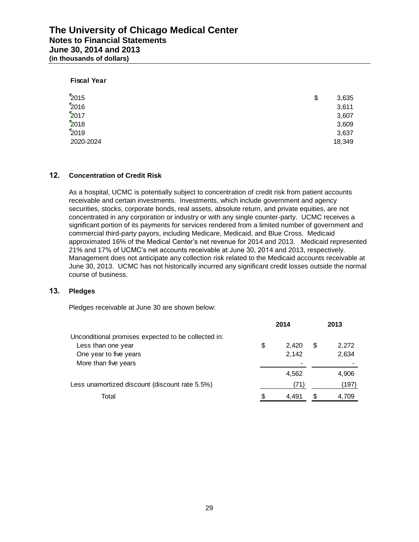#### **Fiscal Year**

| 2015      | \$<br>3,635 |
|-----------|-------------|
| 2016      | 3,611       |
| 2017      | 3,607       |
| 2018      | 3,609       |
| 2019      | 3,637       |
| 2020-2024 | 18,349      |

#### **12. Concentration of Credit Risk**

As a hospital, UCMC is potentially subject to concentration of credit risk from patient accounts receivable and certain investments. Investments, which include government and agency securities, stocks, corporate bonds, real assets, absolute return, and private equities, are not concentrated in any corporation or industry or with any single counter-party. UCMC receives a significant portion of its payments for services rendered from a limited number of government and commercial third-party payors, including Medicare, Medicaid, and Blue Cross. Medicaid approximated 16% of the Medical Center's net revenue for 2014 and 2013. Medicaid represented 21% and 17% of UCMC's net accounts receivable at June 30, 2014 and 2013, respectively. Management does not anticipate any collection risk related to the Medicaid accounts receivable at June 30, 2013. UCMC has not historically incurred any significant credit losses outside the normal course of business.

#### **13. Pledges**

Pledges receivable at June 30 are shown below:

|                                                     |    | 2014  |   | 2013  |
|-----------------------------------------------------|----|-------|---|-------|
| Unconditional promises expected to be collected in: |    |       |   |       |
| Less than one year                                  | \$ | 2.420 | S | 2,272 |
| One year to five years                              |    | 2,142 |   | 2,634 |
| More than five years                                |    |       |   |       |
|                                                     |    | 4,562 |   | 4,906 |
| Less unamortized discount (discount rate 5.5%)      |    | (71)  |   | (197) |
| Total                                               | S  | 4.491 |   | 4.709 |